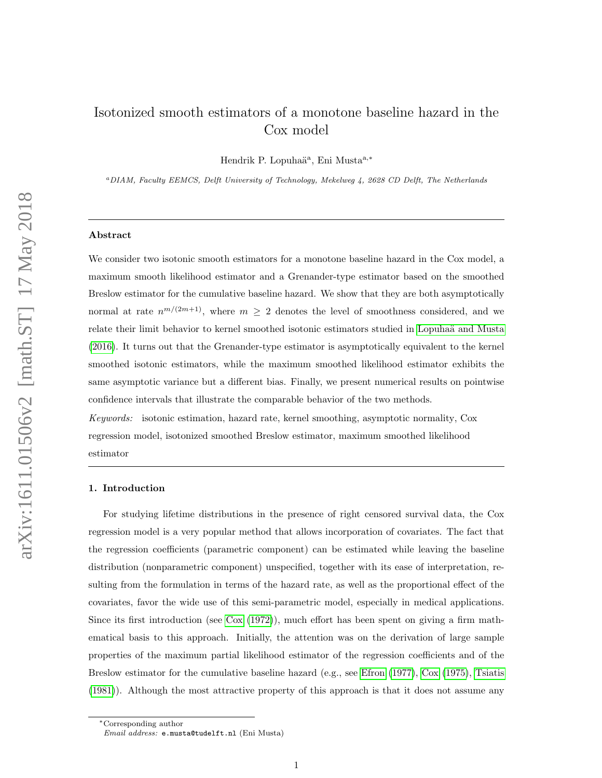# Isotonized smooth estimators of a monotone baseline hazard in the Cox model

Hendrik P. Lopuhaä<sup>a</sup>, Eni Musta<sup>a,\*</sup>

<sup>a</sup>DIAM, Faculty EEMCS, Delft University of Technology, Mekelweg 4, 2628 CD Delft, The Netherlands

#### Abstract

We consider two isotonic smooth estimators for a monotone baseline hazard in the Cox model, a maximum smooth likelihood estimator and a Grenander-type estimator based on the smoothed Breslow estimator for the cumulative baseline hazard. We show that they are both asymptotically normal at rate  $n^{m/(2m+1)}$ , where  $m \geq 2$  denotes the level of smoothness considered, and we relate their limit behavior to kernel smoothed isotonic estimators studied in Lopuhaä and Musta [\(2016\)](#page-37-0). It turns out that the Grenander-type estimator is asymptotically equivalent to the kernel smoothed isotonic estimators, while the maximum smoothed likelihood estimator exhibits the same asymptotic variance but a different bias. Finally, we present numerical results on pointwise confidence intervals that illustrate the comparable behavior of the two methods.

Keywords: isotonic estimation, hazard rate, kernel smoothing, asymptotic normality, Cox regression model, isotonized smoothed Breslow estimator, maximum smoothed likelihood estimator

# 1. Introduction

For studying lifetime distributions in the presence of right censored survival data, the Cox regression model is a very popular method that allows incorporation of covariates. The fact that the regression coefficients (parametric component) can be estimated while leaving the baseline distribution (nonparametric component) unspecified, together with its ease of interpretation, resulting from the formulation in terms of the hazard rate, as well as the proportional effect of the covariates, favor the wide use of this semi-parametric model, especially in medical applications. Since its first introduction (see [Cox](#page-36-0) [\(1972\)](#page-36-0)), much effort has been spent on giving a firm mathematical basis to this approach. Initially, the attention was on the derivation of large sample properties of the maximum partial likelihood estimator of the regression coefficients and of the Breslow estimator for the cumulative baseline hazard (e.g., see [Efron](#page-36-1) [\(1977\)](#page-36-1), [Cox](#page-36-2) [\(1975\)](#page-36-2), [Tsiatis](#page-38-0) [\(1981\)](#page-38-0)). Although the most attractive property of this approach is that it does not assume any

<sup>∗</sup>Corresponding author

Email address: e.musta@tudelft.nl (Eni Musta)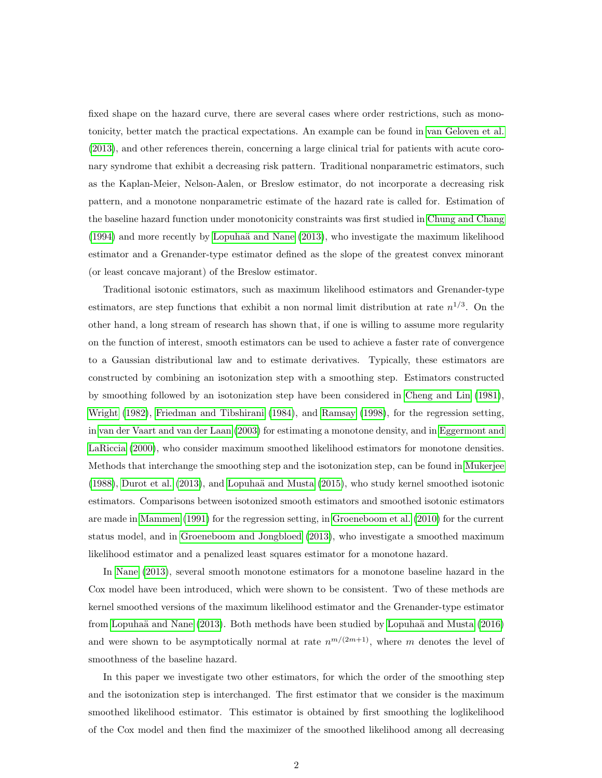fixed shape on the hazard curve, there are several cases where order restrictions, such as monotonicity, better match the practical expectations. An example can be found in [van Geloven et al.](#page-38-1) [\(2013\)](#page-38-1), and other references therein, concerning a large clinical trial for patients with acute coronary syndrome that exhibit a decreasing risk pattern. Traditional nonparametric estimators, such as the Kaplan-Meier, Nelson-Aalen, or Breslow estimator, do not incorporate a decreasing risk pattern, and a monotone nonparametric estimate of the hazard rate is called for. Estimation of the baseline hazard function under monotonicity constraints was first studied in [Chung and Chang](#page-36-3)  $(1994)$  and more recently by Lopuhaä and Nane  $(2013)$ , who investigate the maximum likelihood estimator and a Grenander-type estimator defined as the slope of the greatest convex minorant (or least concave majorant) of the Breslow estimator.

Traditional isotonic estimators, such as maximum likelihood estimators and Grenander-type estimators, are step functions that exhibit a non normal limit distribution at rate  $n^{1/3}$ . On the other hand, a long stream of research has shown that, if one is willing to assume more regularity on the function of interest, smooth estimators can be used to achieve a faster rate of convergence to a Gaussian distributional law and to estimate derivatives. Typically, these estimators are constructed by combining an isotonization step with a smoothing step. Estimators constructed by smoothing followed by an isotonization step have been considered in [Cheng and Lin](#page-36-4) [\(1981\)](#page-36-4), [Wright](#page-38-2) [\(1982\)](#page-38-2), [Friedman and Tibshirani](#page-36-5) [\(1984\)](#page-36-5), and [Ramsay](#page-38-3) [\(1998\)](#page-38-3), for the regression setting, in [van der Vaart and van der Laan](#page-38-4) [\(2003\)](#page-38-4) for estimating a monotone density, and in [Eggermont and](#page-36-6) [LaRiccia](#page-36-6) [\(2000\)](#page-36-6), who consider maximum smoothed likelihood estimators for monotone densities. Methods that interchange the smoothing step and the isotonization step, can be found in [Mukerjee](#page-37-2)  $(1988)$ , [Durot et al.](#page-36-7)  $(2013)$ , and Lopuhaä and Musta  $(2015)$ , who study kernel smoothed isotonic estimators. Comparisons between isotonized smooth estimators and smoothed isotonic estimators are made in [Mammen](#page-37-4) [\(1991\)](#page-37-4) for the regression setting, in [Groeneboom et al.](#page-37-5) [\(2010\)](#page-37-5) for the current status model, and in [Groeneboom and Jongbloed](#page-37-6) [\(2013\)](#page-37-6), who investigate a smoothed maximum likelihood estimator and a penalized least squares estimator for a monotone hazard.

In [Nane](#page-38-5) [\(2013\)](#page-38-5), several smooth monotone estimators for a monotone baseline hazard in the Cox model have been introduced, which were shown to be consistent. Two of these methods are kernel smoothed versions of the maximum likelihood estimator and the Grenander-type estimator from Lopuhaä and Nane  $(2013)$ . Both methods have been studied by Lopuhaä and Musta  $(2016)$ and were shown to be asymptotically normal at rate  $n^{m/(2m+1)}$ , where m denotes the level of smoothness of the baseline hazard.

In this paper we investigate two other estimators, for which the order of the smoothing step and the isotonization step is interchanged. The first estimator that we consider is the maximum smoothed likelihood estimator. This estimator is obtained by first smoothing the loglikelihood of the Cox model and then find the maximizer of the smoothed likelihood among all decreasing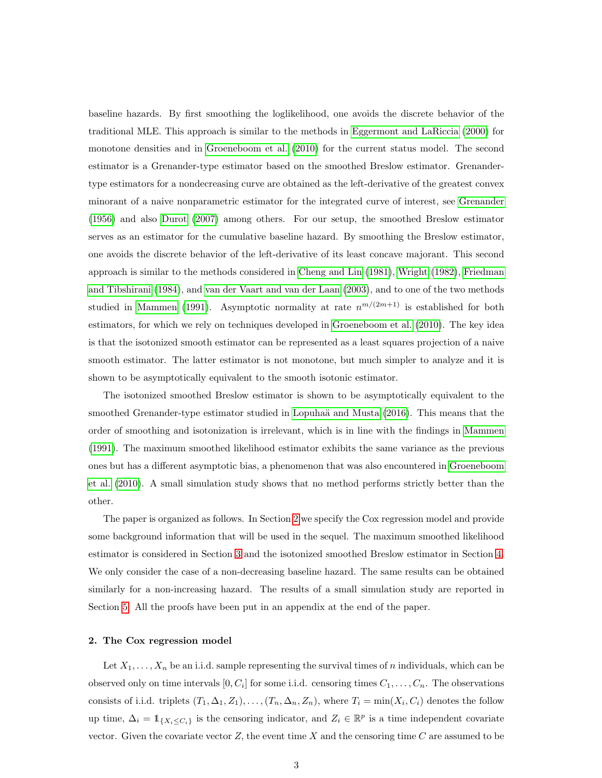baseline hazards. By first smoothing the loglikelihood, one avoids the discrete behavior of the traditional MLE. This approach is similar to the methods in [Eggermont and LaRiccia](#page-36-6) [\(2000\)](#page-36-6) for monotone densities and in [Groeneboom et al.](#page-37-5) [\(2010\)](#page-37-5) for the current status model. The second estimator is a Grenander-type estimator based on the smoothed Breslow estimator. Grenandertype estimators for a nondecreasing curve are obtained as the left-derivative of the greatest convex minorant of a naive nonparametric estimator for the integrated curve of interest, see [Grenander](#page-37-7) [\(1956\)](#page-37-7) and also [Durot](#page-36-8) [\(2007\)](#page-36-8) among others. For our setup, the smoothed Breslow estimator serves as an estimator for the cumulative baseline hazard. By smoothing the Breslow estimator, one avoids the discrete behavior of the left-derivative of its least concave majorant. This second approach is similar to the methods considered in [Cheng and Lin](#page-36-4) [\(1981\)](#page-36-4), [Wright](#page-38-2) [\(1982\)](#page-38-2), [Friedman](#page-36-5) [and Tibshirani](#page-36-5) [\(1984\)](#page-36-5), and [van der Vaart and van der Laan](#page-38-4) [\(2003\)](#page-38-4), and to one of the two methods studied in [Mammen](#page-37-4) [\(1991\)](#page-37-4). Asymptotic normality at rate  $n^{m/(2m+1)}$  is established for both estimators, for which we rely on techniques developed in [Groeneboom et al.](#page-37-5) [\(2010\)](#page-37-5). The key idea is that the isotonized smooth estimator can be represented as a least squares projection of a naive smooth estimator. The latter estimator is not monotone, but much simpler to analyze and it is shown to be asymptotically equivalent to the smooth isotonic estimator.

The isotonized smoothed Breslow estimator is shown to be asymptotically equivalent to the smoothed Grenander-type estimator studied in Lopuhaä and Musta [\(2016\)](#page-37-0). This means that the order of smoothing and isotonization is irrelevant, which is in line with the findings in [Mammen](#page-37-4) [\(1991\)](#page-37-4). The maximum smoothed likelihood estimator exhibits the same variance as the previous ones but has a different asymptotic bias, a phenomenon that was also encountered in [Groeneboom](#page-37-5) [et al.](#page-37-5) [\(2010\)](#page-37-5). A small simulation study shows that no method performs strictly better than the other.

The paper is organized as follows. In Section [2](#page-2-0) we specify the Cox regression model and provide some background information that will be used in the sequel. The maximum smoothed likelihood estimator is considered in Section [3](#page-5-0) and the isotonized smoothed Breslow estimator in Section [4.](#page-11-0) We only consider the case of a non-decreasing baseline hazard. The same results can be obtained similarly for a non-increasing hazard. The results of a small simulation study are reported in Section [5.](#page-15-0) All the proofs have been put in an appendix at the end of the paper.

# <span id="page-2-0"></span>2. The Cox regression model

Let  $X_1, \ldots, X_n$  be an i.i.d. sample representing the survival times of n individuals, which can be observed only on time intervals  $[0, C_i]$  for some i.i.d. censoring times  $C_1, \ldots, C_n$ . The observations consists of i.i.d. triplets  $(T_1, \Delta_1, Z_1), \ldots, (T_n, \Delta_n, Z_n)$ , where  $T_i = \min(X_i, C_i)$  denotes the follow up time,  $\Delta_i = \mathbb{1}_{\{X_i \leq C_i\}}$  is the censoring indicator, and  $Z_i \in \mathbb{R}^p$  is a time independent covariate vector. Given the covariate vector  $Z$ , the event time  $X$  and the censoring time  $C$  are assumed to be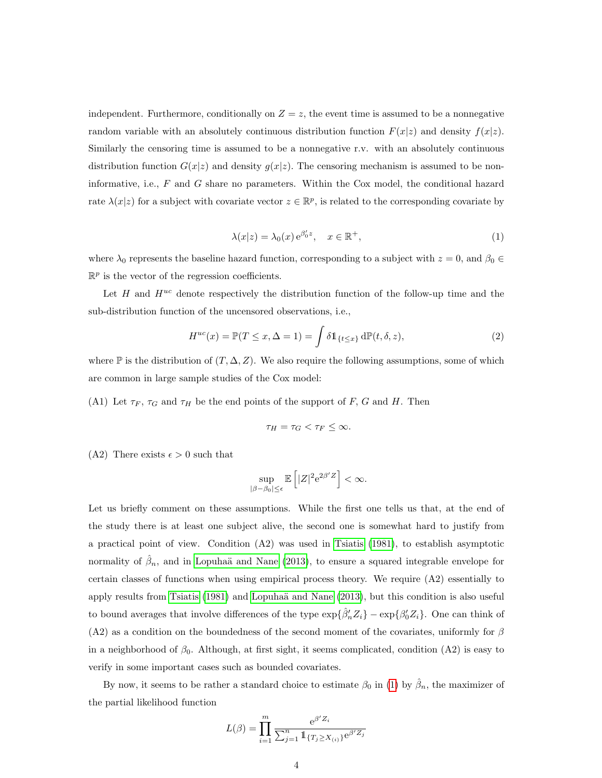independent. Furthermore, conditionally on  $Z = z$ , the event time is assumed to be a nonnegative random variable with an absolutely continuous distribution function  $F(x|z)$  and density  $f(x|z)$ . Similarly the censoring time is assumed to be a nonnegative r.v. with an absolutely continuous distribution function  $G(x|z)$  and density  $g(x|z)$ . The censoring mechanism is assumed to be noninformative, i.e.,  $F$  and  $G$  share no parameters. Within the Cox model, the conditional hazard rate  $\lambda(x|z)$  for a subject with covariate vector  $z \in \mathbb{R}^p$ , is related to the corresponding covariate by

<span id="page-3-1"></span>
$$
\lambda(x|z) = \lambda_0(x) e^{\beta'_0 z}, \quad x \in \mathbb{R}^+, \tag{1}
$$

<span id="page-3-0"></span>where  $\lambda_0$  represents the baseline hazard function, corresponding to a subject with  $z = 0$ , and  $\beta_0 \in$  $\mathbb{R}^p$  is the vector of the regression coefficients.

Let H and  $H^{uc}$  denote respectively the distribution function of the follow-up time and the sub-distribution function of the uncensored observations, i.e.,

$$
H^{uc}(x) = \mathbb{P}(T \le x, \Delta = 1) = \int \delta \mathbb{1}_{\{t \le x\}} \, d\mathbb{P}(t, \delta, z), \tag{2}
$$

where  $\mathbb P$  is the distribution of  $(T, \Delta, Z)$ . We also require the following assumptions, some of which are common in large sample studies of the Cox model:

(A1) Let  $\tau_F$ ,  $\tau_G$  and  $\tau_H$  be the end points of the support of F, G and H. Then

$$
\tau_H = \tau_G < \tau_F \leq \infty.
$$

(A2) There exists  $\epsilon > 0$  such that

$$
\sup_{|\beta-\beta_0|\leq\epsilon}\mathbb{E}\left[|Z|^2\mathrm{e}^{2\beta'Z}\right]<\infty.
$$

Let us briefly comment on these assumptions. While the first one tells us that, at the end of the study there is at least one subject alive, the second one is somewhat hard to justify from a practical point of view. Condition (A2) was used in [Tsiatis](#page-38-0) [\(1981\)](#page-38-0), to establish asymptotic normality of  $\hat{\beta}_n$ , and in Lopuhaä and Nane [\(2013\)](#page-37-1), to ensure a squared integrable envelope for certain classes of functions when using empirical process theory. We require (A2) essentially to apply results from [Tsiatis](#page-38-0) [\(1981\)](#page-38-0) and [Lopuha¨a and Nane](#page-37-1) [\(2013\)](#page-37-1), but this condition is also useful to bound averages that involve differences of the type  $\exp{\{\hat{\beta}'_n Z_i\}} - \exp{\{\beta'_0 Z_i\}}$ . One can think of (A2) as a condition on the boundedness of the second moment of the covariates, uniformly for  $\beta$ in a neighborhood of  $\beta_0$ . Although, at first sight, it seems complicated, condition (A2) is easy to verify in some important cases such as bounded covariates.

By now, it seems to be rather a standard choice to estimate  $\beta_0$  in [\(1\)](#page-3-0) by  $\hat{\beta}_n$ , the maximizer of the partial likelihood function

$$
L(\beta) = \prod_{i=1}^{m} \frac{e^{\beta' Z_i}}{\sum_{j=1}^{n} \mathbb{1}_{\{T_j \ge X_{(i)}\}} e^{\beta' Z_j}}
$$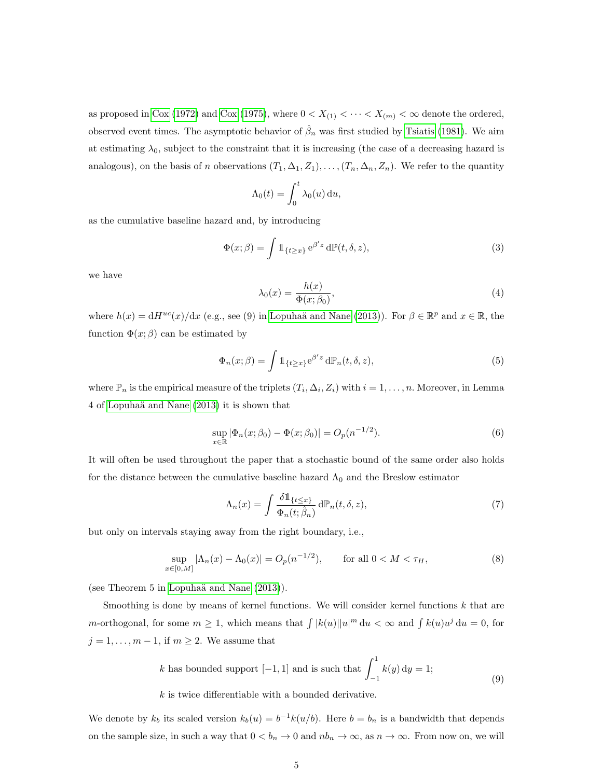as proposed in [Cox](#page-36-2) [\(1972\)](#page-36-0) and Cox [\(1975\)](#page-36-2), where  $0 < X_{(1)} < \cdots < X_{(m)} < \infty$  denote the ordered, observed event times. The asymptotic behavior of  $\hat{\beta}_n$  was first studied by [Tsiatis](#page-38-0) [\(1981\)](#page-38-0). We aim at estimating  $\lambda_0$ , subject to the constraint that it is increasing (the case of a decreasing hazard is analogous), on the basis of n observations  $(T_1, \Delta_1, Z_1), \ldots, (T_n, \Delta_n, Z_n)$ . We refer to the quantity

<span id="page-4-0"></span>
$$
\Lambda_0(t) = \int_0^t \lambda_0(u) \, \mathrm{d}u,
$$

as the cumulative baseline hazard and, by introducing

$$
\Phi(x;\beta) = \int \mathbb{1}_{\{t \ge x\}} e^{\beta' z} d\mathbb{P}(t,\delta,z),\tag{3}
$$

<span id="page-4-1"></span>we have

<span id="page-4-3"></span>
$$
\lambda_0(x) = \frac{h(x)}{\Phi(x; \beta_0)},\tag{4}
$$

where  $h(x) = dH^{uc}(x)/dx$  (e.g., see (9) in Lopuhaä and Nane [\(2013\)](#page-37-1)). For  $\beta \in \mathbb{R}^p$  and  $x \in \mathbb{R}$ , the function  $\Phi(x;\beta)$  can be estimated by

$$
\Phi_n(x;\beta) = \int \mathbb{1}_{\{t \ge x\}} e^{\beta' z} d\mathbb{P}_n(t,\delta,z),\tag{5}
$$

where  $\mathbb{P}_n$  is the empirical measure of the triplets  $(T_i, \Delta_i, Z_i)$  with  $i = 1, \ldots, n$ . Moreover, in Lemma 4 of [Lopuha¨a and Nane](#page-37-1) [\(2013\)](#page-37-1) it is shown that

$$
\sup_{x \in \mathbb{R}} |\Phi_n(x; \beta_0) - \Phi(x; \beta_0)| = O_p(n^{-1/2}).
$$
\n(6)

It will often be used throughout the paper that a stochastic bound of the same order also holds for the distance between the cumulative baseline hazard  $\Lambda_0$  and the Breslow estimator

<span id="page-4-4"></span>
$$
\Lambda_n(x) = \int \frac{\delta \mathbb{1}_{\{t \le x\}}}{\Phi_n(t; \hat{\beta}_n)} d\mathbb{P}_n(t, \delta, z), \tag{7}
$$

but only on intervals staying away from the right boundary, i.e.,

$$
\sup_{x \in [0,M]} |\Lambda_n(x) - \Lambda_0(x)| = O_p(n^{-1/2}), \qquad \text{for all } 0 < M < \tau_H,\tag{8}
$$

(see Theorem 5 in Lopuhaä and Nane  $(2013)$ ).

Smoothing is done by means of kernel functions. We will consider kernel functions  $k$  that are m-orthogonal, for some  $m \geq 1$ , which means that  $\int |k(u)||u|^m du < \infty$  and  $\int k(u)u^j du = 0$ , for  $j = 1, \ldots, m - 1$ , if  $m \geq 2$ . We assume that

<span id="page-4-2"></span>k has bounded support 
$$
[-1, 1]
$$
 and is such that  $\int_{-1}^{1} k(y) dy = 1;$   
\nk is twice differentiable with a bounded derivative. (9)

We denote by  $k_b$  its scaled version  $k_b(u) = b^{-1}k(u/b)$ . Here  $b = b_n$  is a bandwidth that depends on the sample size, in such a way that  $0 < b_n \to 0$  and  $nb_n \to \infty$ , as  $n \to \infty$ . From now on, we will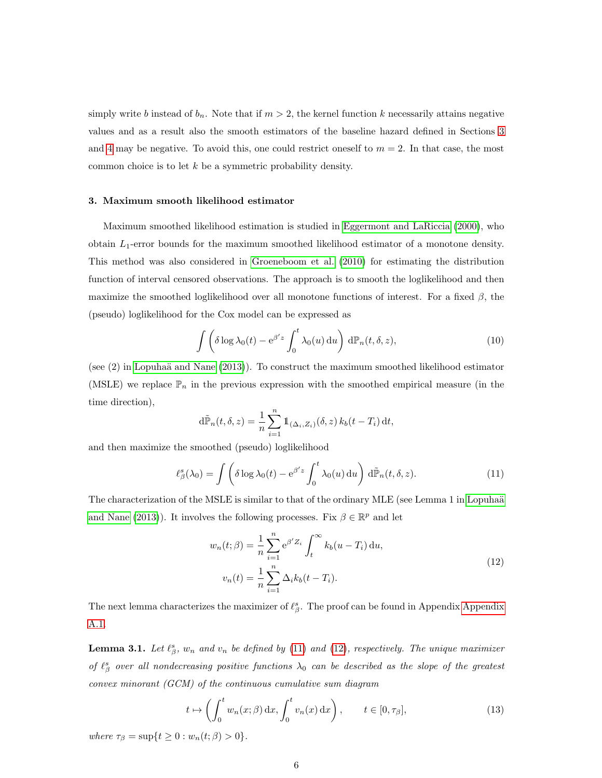simply write b instead of  $b_n$ . Note that if  $m > 2$ , the kernel function k necessarily attains negative values and as a result also the smooth estimators of the baseline hazard defined in Sections [3](#page-5-0) and [4](#page-11-0) may be negative. To avoid this, one could restrict oneself to  $m = 2$ . In that case, the most common choice is to let  $k$  be a symmetric probability density.

## <span id="page-5-0"></span>3. Maximum smooth likelihood estimator

Maximum smoothed likelihood estimation is studied in [Eggermont and LaRiccia](#page-36-6) [\(2000\)](#page-36-6), who obtain  $L_1$ -error bounds for the maximum smoothed likelihood estimator of a monotone density. This method was also considered in [Groeneboom et al.](#page-37-5) [\(2010\)](#page-37-5) for estimating the distribution function of interval censored observations. The approach is to smooth the loglikelihood and then maximize the smoothed loglikelihood over all monotone functions of interest. For a fixed  $\beta$ , the (pseudo) loglikelihood for the Cox model can be expressed as

<span id="page-5-5"></span>
$$
\int \left( \delta \log \lambda_0(t) - e^{\beta' z} \int_0^t \lambda_0(u) \, \mathrm{d}u \right) \, \mathrm{d}\mathbb{P}_n(t, \delta, z),\tag{10}
$$

(see  $(2)$  in Lopuhaä and Nane  $(2013)$ ). To construct the maximum smoothed likelihood estimator (MSLE) we replace  $\mathbb{P}_n$  in the previous expression with the smoothed empirical measure (in the time direction),

<span id="page-5-1"></span>
$$
\mathrm{d}\tilde{\mathbb{P}}_n(t,\delta,z) = \frac{1}{n}\sum_{i=1}^n \mathbb{1}_{(\Delta_i,Z_i)}(\delta,z) k_b(t-T_i) \,\mathrm{d}t,
$$

and then maximize the smoothed (pseudo) loglikelihood

$$
\ell_{\beta}^{s}(\lambda_{0}) = \int \left( \delta \log \lambda_{0}(t) - e^{\beta' z} \int_{0}^{t} \lambda_{0}(u) du \right) d\tilde{\mathbb{P}}_{n}(t, \delta, z).
$$
 (11)

The characterization of the MSLE is similar to that of the ordinary MLE (see Lemma 1 in Lopuhaä [and Nane](#page-37-1) [\(2013\)](#page-37-1)). It involves the following processes. Fix  $\beta \in \mathbb{R}^p$  and let

<span id="page-5-2"></span>
$$
w_n(t; \beta) = \frac{1}{n} \sum_{i=1}^n e^{\beta' Z_i} \int_t^{\infty} k_b(u - T_i) \, du,
$$
  

$$
v_n(t) = \frac{1}{n} \sum_{i=1}^n \Delta_i k_b(t - T_i).
$$
 (12)

The next lemma characterizes the maximizer of  $\ell_{\beta}^{s}$ . The proof can be found in [Appendix](#page-19-0) Appendix [A.1.](#page-19-0)

<span id="page-5-3"></span>**Lemma 3.1.** Let  $\ell_{\beta}^{s}$ ,  $w_n$  and  $v_n$  be defined by [\(11\)](#page-5-1) and [\(12\)](#page-5-2), respectively. The unique maximizer of  $\ell^s_\beta$  over all nondecreasing positive functions  $\lambda_0$  can be described as the slope of the greatest convex minorant (GCM) of the continuous cumulative sum diagram

<span id="page-5-4"></span>
$$
t \mapsto \left(\int_0^t w_n(x;\beta) \,dx, \int_0^t v_n(x) \,dx\right), \qquad t \in [0, \tau_\beta],\tag{13}
$$

where  $\tau_{\beta} = \sup\{t \ge 0 : w_n(t;\beta) > 0\}.$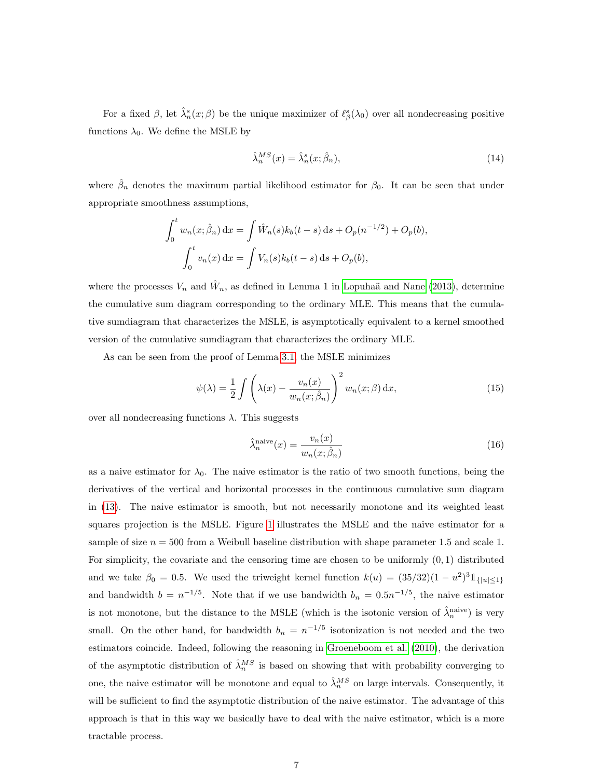For a fixed  $\beta$ , let  $\hat{\lambda}_n^s(x;\beta)$  be the unique maximizer of  $\ell_\beta^s(\lambda_0)$  over all nondecreasing positive functions  $\lambda_0$ . We define the MSLE by

<span id="page-6-1"></span>
$$
\hat{\lambda}_n^{MS}(x) = \hat{\lambda}_n^s(x; \hat{\beta}_n),\tag{14}
$$

where  $\hat{\beta}_n$  denotes the maximum partial likelihood estimator for  $\beta_0$ . It can be seen that under appropriate smoothness assumptions,

$$
\int_0^t w_n(x; \hat{\beta}_n) dx = \int \hat{W}_n(s) k_b(t-s) ds + O_p(n^{-1/2}) + O_p(b),
$$
  

$$
\int_0^t v_n(x) dx = \int V_n(s) k_b(t-s) ds + O_p(b),
$$

where the processes  $V_n$  and  $\hat{W}_n$ , as defined in Lemma 1 in Lopuhaä and Nane [\(2013\)](#page-37-1), determine the cumulative sum diagram corresponding to the ordinary MLE. This means that the cumulative sumdiagram that characterizes the MSLE, is asymptotically equivalent to a kernel smoothed version of the cumulative sumdiagram that characterizes the ordinary MLE.

As can be seen from the proof of Lemma [3.1,](#page-5-3) the MSLE minimizes

$$
\psi(\lambda) = \frac{1}{2} \int \left( \lambda(x) - \frac{v_n(x)}{w_n(x; \hat{\beta}_n)} \right)^2 w_n(x; \beta) dx,
$$
\n(15)

over all nondecreasing functions λ. This suggests

<span id="page-6-0"></span>
$$
\hat{\lambda}_n^{\text{naive}}(x) = \frac{v_n(x)}{w_n(x; \hat{\beta}_n)}
$$
\n(16)

as a naive estimator for  $\lambda_0$ . The naive estimator is the ratio of two smooth functions, being the derivatives of the vertical and horizontal processes in the continuous cumulative sum diagram in [\(13\)](#page-5-4). The naive estimator is smooth, but not necessarily monotone and its weighted least squares projection is the MSLE. Figure [1](#page-7-0) illustrates the MSLE and the naive estimator for a sample of size  $n = 500$  from a Weibull baseline distribution with shape parameter 1.5 and scale 1. For simplicity, the covariate and the censoring time are chosen to be uniformly  $(0, 1)$  distributed and we take  $\beta_0 = 0.5$ . We used the triweight kernel function  $k(u) = (35/32)(1 - u^2)^3 1_{\{|u| \leq 1\}}$ and bandwidth  $b = n^{-1/5}$ . Note that if we use bandwidth  $b_n = 0.5n^{-1/5}$ , the naive estimator is not monotone, but the distance to the MSLE (which is the isotonic version of  $\hat{\lambda}_n^{\text{naive}}$ ) is very small. On the other hand, for bandwidth  $b_n = n^{-1/5}$  isotonization is not needed and the two estimators coincide. Indeed, following the reasoning in [Groeneboom et al.](#page-37-5) [\(2010\)](#page-37-5), the derivation of the asymptotic distribution of  $\hat{\lambda}_n^{MS}$  is based on showing that with probability converging to one, the naive estimator will be monotone and equal to  $\hat{\lambda}_n^{MS}$  on large intervals. Consequently, it will be sufficient to find the asymptotic distribution of the naive estimator. The advantage of this approach is that in this way we basically have to deal with the naive estimator, which is a more tractable process.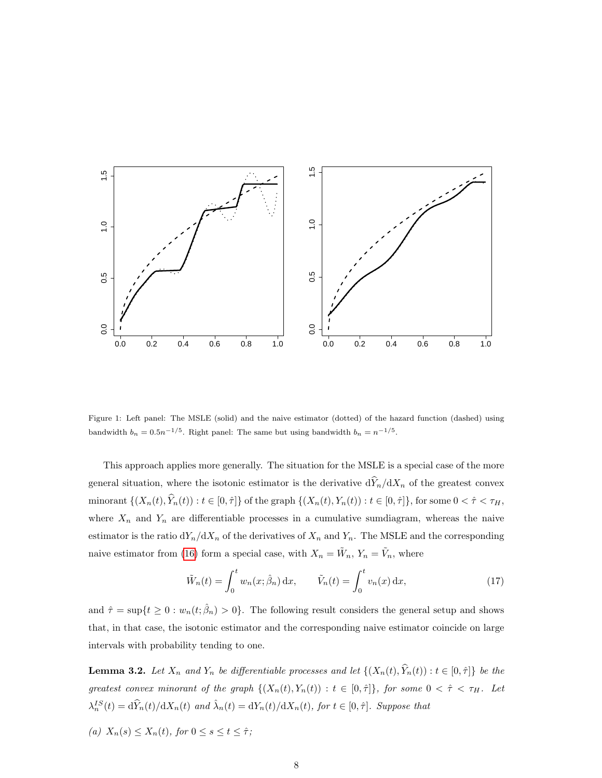<span id="page-7-0"></span>

Figure 1: Left panel: The MSLE (solid) and the naive estimator (dotted) of the hazard function (dashed) using bandwidth  $b_n = 0.5n^{-1/5}$ . Right panel: The same but using bandwidth  $b_n = n^{-1/5}$ .

This approach applies more generally. The situation for the MSLE is a special case of the more general situation, where the isotonic estimator is the derivative  $\frac{d\hat{Y}_n}{dx_n}$  of the greatest convex minorant  $\{(X_n(t), \hat{Y}_n(t)) : t \in [0, \hat{\tau}]\}$  of the graph  $\{(X_n(t), Y_n(t)) : t \in [0, \hat{\tau}]\}$ , for some  $0 < \hat{\tau} < \tau_H$ , where  $X_n$  and  $Y_n$  are differentiable processes in a cumulative sumdiagram, whereas the naive estimator is the ratio  $dY_n/dX_n$  of the derivatives of  $X_n$  and  $Y_n$ . The MSLE and the corresponding naive estimator from [\(16\)](#page-6-0) form a special case, with  $X_n = \tilde{W}_n$ ,  $Y_n = \tilde{V}_n$ , where

<span id="page-7-3"></span>
$$
\tilde{W}_n(t) = \int_0^t w_n(x; \hat{\beta}_n) dx, \qquad \tilde{V}_n(t) = \int_0^t v_n(x) dx,
$$
\n(17)

and  $\hat{\tau} = \sup\{t \geq 0 : w_n(t; \hat{\beta}_n) > 0\}$ . The following result considers the general setup and shows that, in that case, the isotonic estimator and the corresponding naive estimator coincide on large intervals with probability tending to one.

<span id="page-7-1"></span>**Lemma 3.2.** Let  $X_n$  and  $Y_n$  be differentiable processes and let  $\{(X_n(t), \hat{Y}_n(t)) : t \in [0, \hat{\tau}]\}$  be the greatest convex minorant of the graph  $\{(X_n(t), Y_n(t)) : t \in [0, \hat{\tau}]\}\$ , for some  $0 < \hat{\tau} < \tau_H$ . Let  $\lambda_n^{IS}(t) = d\widehat{Y}_n(t)/dX_n(t)$  and  $\widehat{\lambda}_n(t) = dY_n(t)/dX_n(t)$ , for  $t \in [0, \widehat{\tau}]$ . Suppose that

<span id="page-7-2"></span>(a)  $X_n(s) \leq X_n(t)$ , for  $0 \leq s \leq t \leq \hat{\tau}$ ;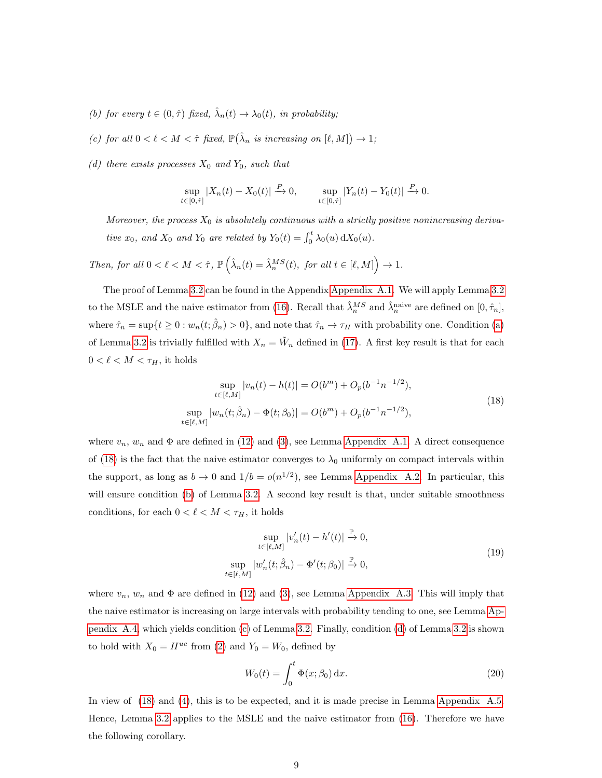- <span id="page-8-1"></span>(b) for every  $t \in (0, \hat{\tau})$  fixed,  $\hat{\lambda}_n(t) \to \lambda_0(t)$ , in probability;
- <span id="page-8-2"></span>(c) for all  $0 < \ell < M < \hat{\tau}$  fixed,  $\mathbb{P}(\hat{\lambda}_n$  is increasing on  $[\ell, M] \to 1$ ;
- <span id="page-8-3"></span>(d) there exists processes  $X_0$  and  $Y_0$ , such that

$$
\sup_{t\in[0,\hat{\tau}]}|X_n(t)-X_0(t)| \xrightarrow{P} 0, \qquad \sup_{t\in[0,\hat{\tau}]}|Y_n(t)-Y_0(t)| \xrightarrow{P} 0.
$$

Moreover, the process  $X_0$  is absolutely continuous with a strictly positive nonincreasing derivative  $x_0$ , and  $X_0$  and  $Y_0$  are related by  $Y_0(t) = \int_0^t \lambda_0(u) dX_0(u)$ .

Then, for all  $0 < \ell < M < \hat{\tau}$ ,  $\mathbb{P}(\hat{\lambda}_n(t) = \hat{\lambda}_n^{MS}(t)$ , for all  $t \in [\ell, M]$   $\to 1$ .

The proof of Lemma [3.2](#page-7-1) can be found in the Appendix [Appendix A.1.](#page-19-0) We will apply Lemma [3.2](#page-7-1) to the MSLE and the naive estimator from [\(16\)](#page-6-0). Recall that  $\hat{\lambda}_n^{MS}$  and  $\hat{\lambda}_n^{\text{naive}}$  are defined on  $[0, \hat{\tau}_n]$ , where  $\hat{\tau}_n = \sup\{t \geq 0 : w_n(t; \hat{\beta}_n) > 0\}$ , and note that  $\hat{\tau}_n \to \tau_H$  with probability one. Condition [\(a\)](#page-7-2) of Lemma [3.2](#page-7-1) is trivially fulfilled with  $X_n = \tilde{W}_n$  defined in [\(17\)](#page-7-3). A first key result is that for each  $0<\ell< M<\tau_H,$  it holds

<span id="page-8-0"></span>
$$
\sup_{t \in [\ell,M]} |v_n(t) - h(t)| = O(b^m) + O_p(b^{-1}n^{-1/2}),
$$
  
\n
$$
\sup_{t \in [\ell,M]} |w_n(t; \hat{\beta}_n) - \Phi(t; \beta_0)| = O(b^m) + O_p(b^{-1}n^{-1/2}),
$$
\n(18)

where  $v_n$ ,  $w_n$  and  $\Phi$  are defined in [\(12\)](#page-5-2) and [\(3\)](#page-4-0), see Lemma [Appendix A.1.](#page-22-0) A direct consequence of [\(18\)](#page-8-0) is the fact that the naive estimator converges to  $\lambda_0$  uniformly on compact intervals within the support, as long as  $b \to 0$  and  $1/b = o(n^{1/2})$ , see Lemma [Appendix A.2.](#page-23-0) In particular, this will ensure condition [\(b\)](#page-8-1) of Lemma [3.2.](#page-7-1) A second key result is that, under suitable smoothness conditions, for each  $0 < \ell < M < \tau_H$ , it holds

<span id="page-8-4"></span>
$$
\sup_{t \in [\ell, M]} |v'_n(t) - h'(t)| \xrightarrow{\mathbb{P}} 0,
$$
  
\n
$$
\sup_{t \in [\ell, M]} |w'_n(t; \hat{\beta}_n) - \Phi'(t; \beta_0)| \xrightarrow{\mathbb{P}} 0,
$$
\n(19)

where  $v_n$ ,  $w_n$  and  $\Phi$  are defined in [\(12\)](#page-5-2) and [\(3\)](#page-4-0), see Lemma [Appendix A.3.](#page-24-0) This will imply that the naive estimator is increasing on large intervals with probability tending to one, see Lemma [Ap](#page-25-0)[pendix A.4,](#page-25-0) which yields condition [\(c\)](#page-8-2) of Lemma [3.2.](#page-7-1) Finally, condition [\(d\)](#page-8-3) of Lemma [3.2](#page-7-1) is shown to hold with  $X_0 = H^{uc}$  from [\(2\)](#page-3-1) and  $Y_0 = W_0$ , defined by

<span id="page-8-5"></span>
$$
W_0(t) = \int_0^t \Phi(x; \beta_0) \, \mathrm{d}x. \tag{20}
$$

In view of [\(18\)](#page-8-0) and [\(4\)](#page-4-1), this is to be expected, and it is made precise in Lemma [Appendix A.5.](#page-26-0) Hence, Lemma [3.2](#page-7-1) applies to the MSLE and the naive estimator from [\(16\)](#page-6-0). Therefore we have the following corollary.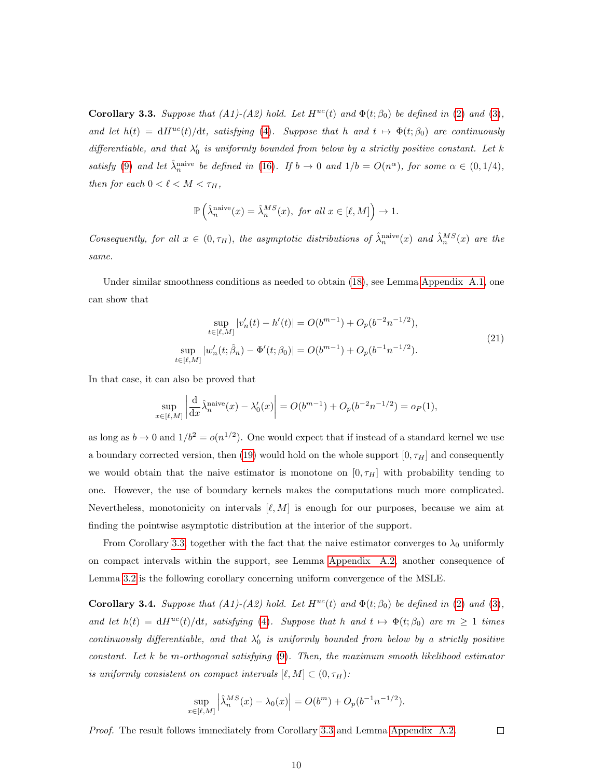<span id="page-9-0"></span>Corollary 3.3. Suppose that  $(A1)-(A2)$  hold. Let  $H^{uc}(t)$  and  $\Phi(t;\beta_0)$  be defined in [\(2\)](#page-3-1) and [\(3\)](#page-4-0), and let  $h(t) = dH^{uc}(t)/dt$ , satisfying [\(4\)](#page-4-1). Suppose that h and  $t \mapsto \Phi(t; \beta_0)$  are continuously differentiable, and that  $\lambda'_0$  is uniformly bounded from below by a strictly positive constant. Let k satisfy [\(9\)](#page-4-2) and let  $\hat{\lambda}_n^{\text{naive}}$  be defined in [\(16\)](#page-6-0). If  $b \to 0$  and  $1/b = O(n^{\alpha})$ , for some  $\alpha \in (0, 1/4)$ , then for each  $0 < \ell < M < \tau_H$ ,

$$
\mathbb{P}\left(\hat{\lambda}_n^{\text{naive}}(x) = \hat{\lambda}_n^{MS}(x), \text{ for all } x \in [\ell, M]\right) \to 1.
$$

Consequently, for all  $x \in (0, \tau_H)$ , the asymptotic distributions of  $\hat{\lambda}_n^{\text{naive}}(x)$  and  $\hat{\lambda}_n^{MS}(x)$  are the same.

Under similar smoothness conditions as needed to obtain [\(18\)](#page-8-0), see Lemma [Appendix A.1,](#page-22-0) one can show that

$$
\sup_{t \in [\ell, M]} |v'_n(t) - h'(t)| = O(b^{m-1}) + O_p(b^{-2}n^{-1/2}),
$$
  
\n
$$
\sup_{t \in [\ell, M]} |w'_n(t; \hat{\beta}_n) - \Phi'(t; \beta_0)| = O(b^{m-1}) + O_p(b^{-1}n^{-1/2}).
$$
\n(21)

In that case, it can also be proved that

$$
\sup_{x \in [\ell,M]} \left| \frac{d}{dx} \hat{\lambda}_n^{\text{naive}}(x) - \lambda_0'(x) \right| = O(b^{m-1}) + O_p(b^{-2}n^{-1/2}) = o_P(1),
$$

as long as  $b \to 0$  and  $1/b^2 = o(n^{1/2})$ . One would expect that if instead of a standard kernel we use a boundary corrected version, then [\(19\)](#page-8-4) would hold on the whole support  $[0, \tau_H]$  and consequently we would obtain that the naive estimator is monotone on  $[0, \tau_H]$  with probability tending to one. However, the use of boundary kernels makes the computations much more complicated. Nevertheless, monotonicity on intervals  $[\ell, M]$  is enough for our purposes, because we aim at finding the pointwise asymptotic distribution at the interior of the support.

From Corollary [3.3,](#page-9-0) together with the fact that the naive estimator converges to  $\lambda_0$  uniformly on compact intervals within the support, see Lemma [Appendix A.2,](#page-23-0) another consequence of Lemma [3.2](#page-7-1) is the following corollary concerning uniform convergence of the MSLE.

**Corollary 3.4.** Suppose that (A1)-(A2) hold. Let  $H^{uc}(t)$  and  $\Phi(t;\beta_0)$  be defined in [\(2\)](#page-3-1) and [\(3\)](#page-4-0), and let  $h(t) = dH^{uc}(t)/dt$ , satisfying [\(4\)](#page-4-1). Suppose that h and  $t \mapsto \Phi(t; \beta_0)$  are  $m \ge 1$  times continuously differentiable, and that  $\lambda'_0$  is uniformly bounded from below by a strictly positive constant. Let  $k$  be m-orthogonal satisfying  $(9)$ . Then, the maximum smooth likelihood estimator is uniformly consistent on compact intervals  $[\ell, M] \subset (0, \tau_H)$ :

$$
\sup_{x \in [\ell,M]} \left| \hat{\lambda}_n^{MS}(x) - \lambda_0(x) \right| = O(b^m) + O_p(b^{-1}n^{-1/2}).
$$

 $\Box$ 

Proof. The result follows immediately from Corollary [3.3](#page-9-0) and Lemma [Appendix A.2.](#page-23-0)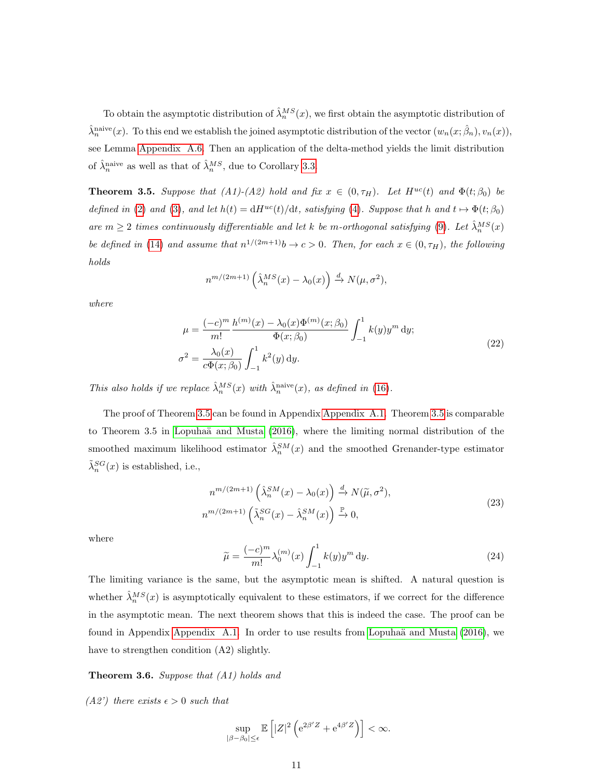To obtain the asymptotic distribution of  $\hat{\lambda}_n^{MS}(x)$ , we first obtain the asymptotic distribution of  $\hat{\lambda}_n^{\text{naive}}(x)$ . To this end we establish the joined asymptotic distribution of the vector  $(w_n(x; \hat{\beta}_n), v_n(x)),$ see Lemma [Appendix A.6.](#page-27-0) Then an application of the delta-method yields the limit distribution of  $\hat{\lambda}_n^{\text{naive}}$  as well as that of  $\hat{\lambda}_n^{MS}$ , due to Corollary [3.3.](#page-9-0)

<span id="page-10-0"></span>**Theorem 3.5.** Suppose that (A1)-(A2) hold and fix  $x \in (0, \tau_H)$ . Let  $H^{uc}(t)$  and  $\Phi(t; \beta_0)$  be defined in [\(2\)](#page-3-1) and [\(3\)](#page-4-0), and let  $h(t) = dH^{uc}(t)/dt$ , satisfying [\(4\)](#page-4-1). Suppose that h and  $t \mapsto \Phi(t; \beta_0)$ are  $m \geq 2$  times continuously differentiable and let k be m-orthogonal satisfying [\(9\)](#page-4-2). Let  $\hat{\lambda}_n^{MS}(x)$ be defined in [\(14\)](#page-6-1) and assume that  $n^{1/(2m+1)}b \to c > 0$ . Then, for each  $x \in (0, \tau_H)$ , the following holds

$$
n^{m/(2m+1)}\left(\hat{\lambda}_n^{MS}(x) - \lambda_0(x)\right) \xrightarrow{d} N(\mu, \sigma^2),
$$

<span id="page-10-1"></span>where

$$
\mu = \frac{(-c)^m}{m!} \frac{h^{(m)}(x) - \lambda_0(x)\Phi^{(m)}(x;\beta_0)}{\Phi(x;\beta_0)} \int_{-1}^1 k(y)y^m \, dy;
$$
\n
$$
\sigma^2 = \frac{\lambda_0(x)}{c\Phi(x;\beta_0)} \int_{-1}^1 k^2(y) \, dy.
$$
\n(22)

This also holds if we replace  $\hat{\lambda}_n^{MS}(x)$  with  $\hat{\lambda}_n^{\text{naive}}(x)$ , as defined in [\(16\)](#page-6-0).

The proof of Theorem [3.5](#page-10-0) can be found in Appendix [Appendix A.1.](#page-19-0) Theorem [3.5](#page-10-0) is comparable to Theorem 3.5 in Lopuhaä and Musta  $(2016)$ , where the limiting normal distribution of the smoothed maximum likelihood estimator  $\hat{\lambda}_n^{SM}(x)$  and the smoothed Grenander-type estimator  $\tilde{\lambda}_n^{SG}(x)$  is established, i.e.,

<span id="page-10-3"></span>
$$
n^{m/(2m+1)}\left(\hat{\lambda}_n^{SM}(x) - \lambda_0(x)\right) \stackrel{d}{\to} N(\tilde{\mu}, \sigma^2),
$$
  

$$
n^{m/(2m+1)}\left(\tilde{\lambda}_n^{SG}(x) - \hat{\lambda}_n^{SM}(x)\right) \stackrel{\mathbb{P}}{\to} 0,
$$
 (23)

<span id="page-10-2"></span>where

$$
\tilde{\mu} = \frac{(-c)^m}{m!} \lambda_0^{(m)}(x) \int_{-1}^1 k(y) y^m \, \mathrm{d}y. \tag{24}
$$

The limiting variance is the same, but the asymptotic mean is shifted. A natural question is whether  $\hat{\lambda}_n^{MS}(x)$  is asymptotically equivalent to these estimators, if we correct for the difference in the asymptotic mean. The next theorem shows that this is indeed the case. The proof can be found in Appendix [Appendix A.1.](#page-19-0) In order to use results from Lopuhaä and Musta  $(2016)$ , we have to strengthen condition (A2) slightly.

# <span id="page-10-4"></span>**Theorem 3.6.** Suppose that  $(A1)$  holds and

(A2') there exists  $\epsilon > 0$  such that

$$
\sup_{|\beta-\beta_0|\leq\epsilon}\mathbb{E}\left[|Z|^2\left(\mathrm{e}^{2\beta' Z}+\mathrm{e}^{4\beta' Z}\right)\right]<\infty.
$$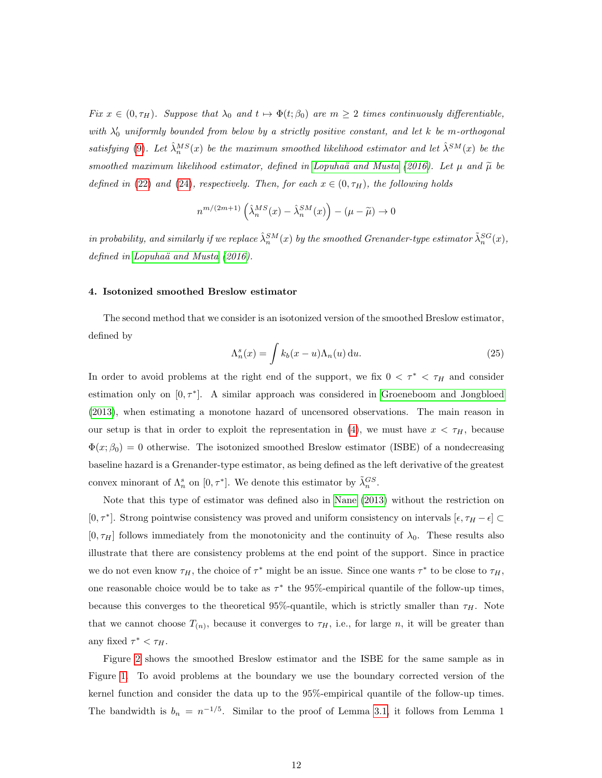Fix  $x \in (0, \tau_H)$ . Suppose that  $\lambda_0$  and  $t \mapsto \Phi(t; \beta_0)$  are  $m \geq 2$  times continuously differentiable, with  $\lambda'_0$  uniformly bounded from below by a strictly positive constant, and let k be m-orthogonal satisfying [\(9\)](#page-4-2). Let  $\hat{\lambda}_n^{MS}(x)$  be the maximum smoothed likelihood estimator and let  $\hat{\lambda}^{SM}(x)$  be the smoothed maximum likelihood estimator, defined in Lopuhaä and Musta [\(2016\)](#page-37-0). Let  $\mu$  and  $\tilde{\mu}$  be defined in [\(22\)](#page-10-1) and [\(24\)](#page-10-2), respectively. Then, for each  $x \in (0, \tau_H)$ , the following holds

$$
n^{m/(2m+1)}\left(\hat{\lambda}_n^{MS}(x) - \hat{\lambda}_n^{SM}(x)\right) - (\mu - \widetilde{\mu}) \to 0
$$

in probability, and similarly if we replace  $\hat{\lambda}_n^{SM}(x)$  by the smoothed Grenander-type estimator  $\tilde{\lambda}_n^{SG}(x)$ , defined in Lopuhaä and Musta  $(2016)$ .

# <span id="page-11-0"></span>4. Isotonized smoothed Breslow estimator

<span id="page-11-1"></span>The second method that we consider is an isotonized version of the smoothed Breslow estimator, defined by

$$
\Lambda_n^s(x) = \int k_b(x - u)\Lambda_n(u) \, \mathrm{d}u. \tag{25}
$$

In order to avoid problems at the right end of the support, we fix  $0 < \tau^* < \tau_H$  and consider estimation only on  $[0, \tau^*]$ . A similar approach was considered in [Groeneboom and Jongbloed](#page-37-6) [\(2013\)](#page-37-6), when estimating a monotone hazard of uncensored observations. The main reason in our setup is that in order to exploit the representation in [\(4\)](#page-4-1), we must have  $x < \tau_H$ , because  $\Phi(x;\beta_0) = 0$  otherwise. The isotonized smoothed Breslow estimator (ISBE) of a nondecreasing baseline hazard is a Grenander-type estimator, as being defined as the left derivative of the greatest convex minorant of  $\Lambda_n^s$  on  $[0, \tau^*]$ . We denote this estimator by  $\tilde{\lambda}_n^{GS}$ .

Note that this type of estimator was defined also in [Nane](#page-38-5) [\(2013\)](#page-38-5) without the restriction on [0,  $\tau^*$ ]. Strong pointwise consistency was proved and uniform consistency on intervals  $[\epsilon, \tau_H - \epsilon]$  $[0, \tau_H]$  follows immediately from the monotonicity and the continuity of  $\lambda_0$ . These results also illustrate that there are consistency problems at the end point of the support. Since in practice we do not even know  $\tau_H$ , the choice of  $\tau^*$  might be an issue. Since one wants  $\tau^*$  to be close to  $\tau_H$ , one reasonable choice would be to take as  $\tau^*$  the 95%-empirical quantile of the follow-up times, because this converges to the theoretical 95%-quantile, which is strictly smaller than  $\tau_H$ . Note that we cannot choose  $T_{(n)}$ , because it converges to  $\tau_H$ , i.e., for large n, it will be greater than any fixed  $\tau^* < \tau_H$ .

Figure [2](#page-12-0) shows the smoothed Breslow estimator and the ISBE for the same sample as in Figure [1.](#page-7-0) To avoid problems at the boundary we use the boundary corrected version of the kernel function and consider the data up to the 95%-empirical quantile of the follow-up times. The bandwidth is  $b_n = n^{-1/5}$ . Similar to the proof of Lemma [3.1,](#page-5-3) it follows from Lemma 1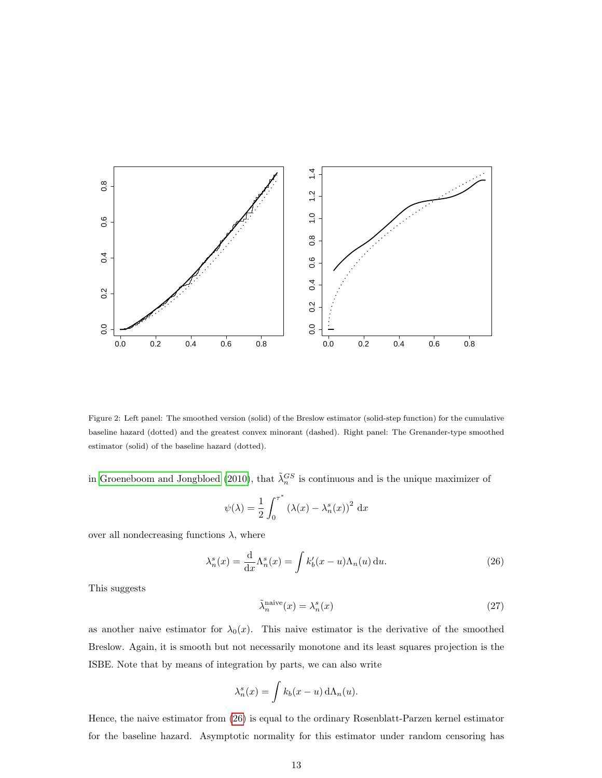<span id="page-12-0"></span>

Figure 2: Left panel: The smoothed version (solid) of the Breslow estimator (solid-step function) for the cumulative baseline hazard (dotted) and the greatest convex minorant (dashed). Right panel: The Grenander-type smoothed estimator (solid) of the baseline hazard (dotted).

in [Groeneboom and Jongbloed](#page-37-8) [\(2010\)](#page-37-8), that  $\tilde{\lambda}_n^{GS}$  is continuous and is the unique maximizer of

<span id="page-12-1"></span>
$$
\psi(\lambda) = \frac{1}{2} \int_0^{\tau^*} \left(\lambda(x) - \lambda_n^s(x)\right)^2 dx
$$

over all nondecreasing functions  $\lambda$ , where

<span id="page-12-2"></span>
$$
\lambda_n^s(x) = \frac{\mathrm{d}}{\mathrm{d}x} \Lambda_n^s(x) = \int k_b'(x - u) \Lambda_n(u) \, \mathrm{d}u. \tag{26}
$$

This suggests

$$
\tilde{\lambda}_n^{\text{naive}}(x) = \lambda_n^s(x) \tag{27}
$$

as another naive estimator for  $\lambda_0(x)$ . This naive estimator is the derivative of the smoothed Breslow. Again, it is smooth but not necessarily monotone and its least squares projection is the ISBE. Note that by means of integration by parts, we can also write

$$
\lambda_n^s(x) = \int k_b(x - u) \, d\Lambda_n(u).
$$

Hence, the naive estimator from [\(26\)](#page-12-1) is equal to the ordinary Rosenblatt-Parzen kernel estimator for the baseline hazard. Asymptotic normality for this estimator under random censoring has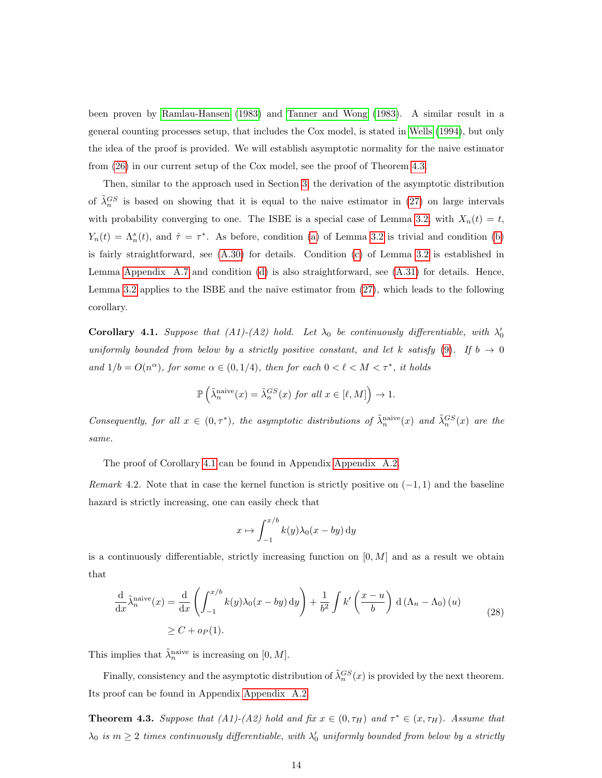been proven by [Ramlau-Hansen](#page-38-6) [\(1983\)](#page-38-6) and [Tanner and Wong](#page-38-7) [\(1983\)](#page-38-7). A similar result in a general counting processes setup, that includes the Cox model, is stated in [Wells](#page-38-8) [\(1994\)](#page-38-8), but only the idea of the proof is provided. We will establish asymptotic normality for the naive estimator from [\(26\)](#page-12-1) in our current setup of the Cox model, see the proof of Theorem [4.3.](#page-13-0)

Then, similar to the approach used in Section [3,](#page-5-0) the derivation of the asymptotic distribution of  $\tilde{\lambda}_n^{GS}$  is based on showing that it is equal to the naive estimator in [\(27\)](#page-12-2) on large intervals with probability converging to one. The ISBE is a special case of Lemma [3.2,](#page-7-1) with  $X_n(t) = t$ ,  $Y_n(t) = \Lambda_n^s(t)$ , and  $\hat{\tau} = \tau^*$ . As before, condition [\(a\)](#page-7-2) of Lemma [3.2](#page-7-1) is trivial and condition [\(b\)](#page-8-1) is fairly straightforward, see [\(A.30\)](#page-32-0) for details. Condition [\(c\)](#page-8-2) of Lemma [3.2](#page-7-1) is established in Lemma [Appendix A.7](#page-32-1) and condition [\(d\)](#page-8-3) is also straightforward, see [\(A.31\)](#page-33-0) for details. Hence, Lemma [3.2](#page-7-1) applies to the ISBE and the naive estimator from [\(27\)](#page-12-2), which leads to the following corollary.

<span id="page-13-1"></span>**Corollary 4.1.** Suppose that  $(A1)-(A2)$  hold. Let  $\lambda_0$  be continuously differentiable, with  $\lambda'_0$ uniformly bounded from below by a strictly positive constant, and let k satisfy [\(9\)](#page-4-2). If  $b \to 0$ and  $1/b = O(n^{\alpha})$ , for some  $\alpha \in (0, 1/4)$ , then for each  $0 < l < M < \tau^*$ , it holds

$$
\mathbb{P}\left(\tilde{\lambda}_{n}^{\text{naive}}(x) = \tilde{\lambda}_{n}^{GS}(x) \text{ for all } x \in [\ell, M]\right) \to 1.
$$

Consequently, for all  $x \in (0, \tau^*)$ , the asymptotic distributions of  $\tilde{\lambda}_n^{\text{naive}}(x)$  and  $\tilde{\lambda}_n^{GS}(x)$  are the same.

The proof of Corollary [4.1](#page-13-1) can be found in Appendix [Appendix A.2.](#page-32-2)

Remark 4.2. Note that in case the kernel function is strictly positive on  $(-1, 1)$  and the baseline hazard is strictly increasing, one can easily check that

$$
x \mapsto \int_{-1}^{x/b} k(y) \lambda_0(x - by) \, dy
$$

is a continuously differentiable, strictly increasing function on  $[0, M]$  and as a result we obtain that

$$
\frac{\mathrm{d}}{\mathrm{d}x} \tilde{\lambda}_n^{\text{naive}}(x) = \frac{\mathrm{d}}{\mathrm{d}x} \left( \int_{-1}^{x/b} k(y) \lambda_0(x - by) \, \mathrm{d}y \right) + \frac{1}{b^2} \int k' \left( \frac{x - u}{b} \right) \, \mathrm{d} \left( \Lambda_n - \Lambda_0 \right)(u)
$$
\n
$$
\ge C + o_P(1).
$$
\n(28)

This implies that  $\tilde{\lambda}_n^{\text{naive}}$  is increasing on  $[0, M]$ .

Finally, consistency and the asymptotic distribution of  $\tilde{\lambda}_n^{GS}(x)$  is provided by the next theorem. Its proof can be found in Appendix [Appendix A.2.](#page-32-2)

<span id="page-13-0"></span>**Theorem 4.3.** Suppose that (A1)-(A2) hold and fix  $x \in (0, \tau_H)$  and  $\tau^* \in (x, \tau_H)$ . Assume that  $\lambda_0$  is  $m \geq 2$  times continuously differentiable, with  $\lambda'_0$  uniformly bounded from below by a strictly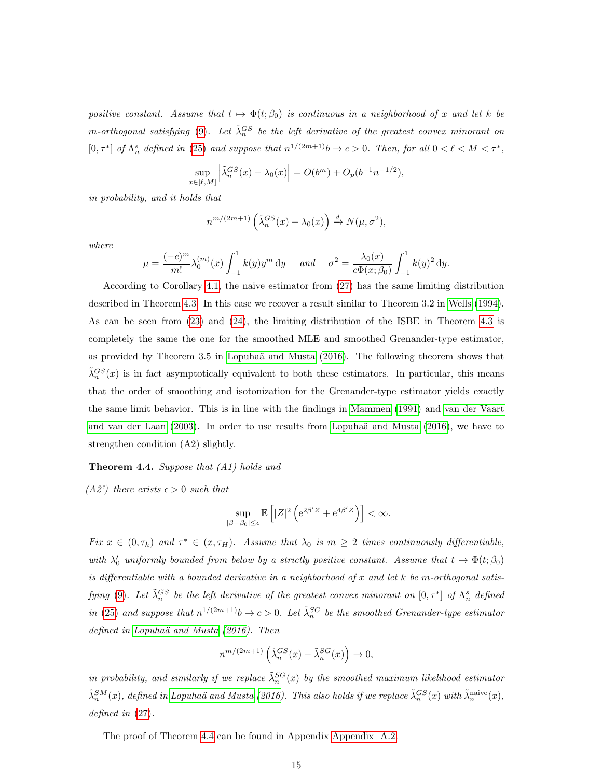positive constant. Assume that  $t \mapsto \Phi(t; \beta_0)$  is continuous in a neighborhood of x and let k be m-orthogonal satisfying [\(9\)](#page-4-2). Let  $\tilde{\lambda}_n^{GS}$  be the left derivative of the greatest convex minorant on  $[0, \tau^*]$  of  $\Lambda_n^s$  defined in [\(25\)](#page-11-1) and suppose that  $n^{1/(2m+1)}b \to c > 0$ . Then, for all  $0 < \ell < M < \tau^*$ ,

$$
\sup_{x \in [\ell, M]} \left| \tilde{\lambda}_n^{GS}(x) - \lambda_0(x) \right| = O(b^m) + O_p(b^{-1}n^{-1/2}),
$$

in probability, and it holds that

$$
n^{m/(2m+1)}\left(\tilde{\lambda}_n^{GS}(x) - \lambda_0(x)\right) \xrightarrow{d} N(\mu, \sigma^2),
$$

where

$$
\mu = \frac{(-c)^m}{m!} \lambda_0^{(m)}(x) \int_{-1}^1 k(y) y^m \, \mathrm{d}y \quad \text{and} \quad \sigma^2 = \frac{\lambda_0(x)}{c \Phi(x; \beta_0)} \int_{-1}^1 k(y)^2 \, \mathrm{d}y.
$$

According to Corollary [4.1,](#page-13-1) the naive estimator from [\(27\)](#page-12-2) has the same limiting distribution described in Theorem [4.3.](#page-13-0) In this case we recover a result similar to Theorem 3.2 in [Wells](#page-38-8) [\(1994\)](#page-38-8). As can be seen from [\(23\)](#page-10-3) and [\(24\)](#page-10-2), the limiting distribution of the ISBE in Theorem [4.3](#page-13-0) is completely the same the one for the smoothed MLE and smoothed Grenander-type estimator, as provided by Theorem 3.5 in Lopuhaä and Musta [\(2016\)](#page-37-0). The following theorem shows that  $\tilde{\lambda}_n^{GS}(x)$  is in fact asymptotically equivalent to both these estimators. In particular, this means that the order of smoothing and isotonization for the Grenander-type estimator yields exactly the same limit behavior. This is in line with the findings in [Mammen](#page-37-4) [\(1991\)](#page-37-4) and [van der Vaart](#page-38-4) [and van der Laan](#page-38-4)  $(2003)$ . In order to use results from Lopuhaä and Musta  $(2016)$ , we have to strengthen condition (A2) slightly.

#### <span id="page-14-0"></span>Theorem 4.4. Suppose that (A1) holds and

 $(A2')$  there exists  $\epsilon > 0$  such that

$$
\sup_{|\beta-\beta_0|\leq\epsilon}\mathbb{E}\left[|Z|^2\left(\mathrm{e}^{2\beta'Z}+\mathrm{e}^{4\beta'Z}\right)\right]<\infty.
$$

Fix  $x \in (0, \tau_h)$  and  $\tau^* \in (x, \tau_H)$ . Assume that  $\lambda_0$  is  $m \geq 2$  times continuously differentiable, with  $\lambda'_0$  uniformly bounded from below by a strictly positive constant. Assume that  $t \mapsto \Phi(t; \beta_0)$ is differentiable with a bounded derivative in a neighborhood of x and let  $k$  be m-orthogonal satis-fying [\(9\)](#page-4-2). Let  $\tilde{\lambda}_n^{GS}$  be the left derivative of the greatest convex minorant on  $[0,\tau^*]$  of  $\Lambda_n^s$  defined in [\(25\)](#page-11-1) and suppose that  $n^{1/(2m+1)}b \to c > 0$ . Let  $\tilde{\lambda}_n^{SG}$  be the smoothed Grenander-type estimator defined in Lopuhaä and Musta  $(2016)$ . Then

$$
n^{m/(2m+1)}\left(\widehat{\lambda}_{n}^{GS}(x)-\widetilde{\lambda}_{n}^{SG}(x)\right)\rightarrow 0,
$$

in probability, and similarly if we replace  $\tilde{\lambda}_n^{SG}(x)$  by the smoothed maximum likelihood estimator  $\hat{\lambda}_n^{SM}(x)$ , defined in Lopuhaä and Musta [\(2016\)](#page-37-0). This also holds if we replace  $\tilde{\lambda}_n^{GS}(x)$  with  $\tilde{\lambda}_n^{\rm naive}(x)$ , defined in  $(27)$ .

The proof of Theorem [4.4](#page-14-0) can be found in Appendix [Appendix A.2.](#page-32-2)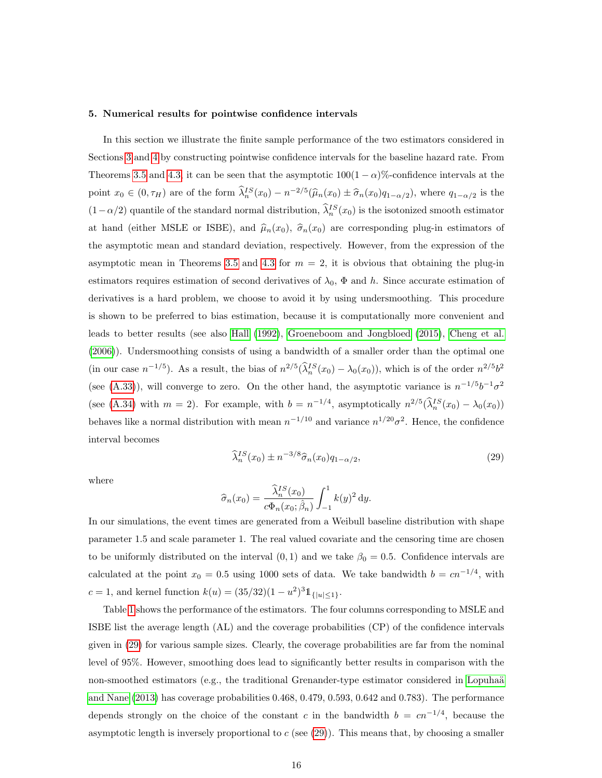#### <span id="page-15-0"></span>5. Numerical results for pointwise confidence intervals

In this section we illustrate the finite sample performance of the two estimators considered in Sections [3](#page-5-0) and [4](#page-11-0) by constructing pointwise confidence intervals for the baseline hazard rate. From Theorems [3.5](#page-10-0) and [4.3,](#page-13-0) it can be seen that the asymptotic  $100(1 - \alpha)$ %-confidence intervals at the point  $x_0 \in (0, \tau_H)$  are of the form  $\hat{\lambda}_n^{IS}(x_0) - n^{-2/5}(\hat{\mu}_n(x_0) \pm \hat{\sigma}_n(x_0)q_{1-\alpha/2})$ , where  $q_{1-\alpha/2}$  is the  $(1 - \alpha/2)$  quantile of the standard normal distribution,  $\hat{\lambda}_n^{IS}(x_0)$  is the isotonized smooth estimator at hand (either MSLE or ISBE), and  $\hat{\mu}_n(x_0)$ ,  $\hat{\sigma}_n(x_0)$  are corresponding plug-in estimators of the asymptotic mean and standard deviation, respectively. However, from the expression of the asymptotic mean in Theorems [3.5](#page-10-0) and [4.3](#page-13-0) for  $m = 2$ , it is obvious that obtaining the plug-in estimators requires estimation of second derivatives of  $\lambda_0$ ,  $\Phi$  and h. Since accurate estimation of derivatives is a hard problem, we choose to avoid it by using undersmoothing. This procedure is shown to be preferred to bias estimation, because it is computationally more convenient and leads to better results (see also [Hall](#page-37-9) [\(1992\)](#page-37-9), [Groeneboom and Jongbloed](#page-37-10) [\(2015\)](#page-37-10), [Cheng et al.](#page-36-9) [\(2006\)](#page-36-9)). Undersmoothing consists of using a bandwidth of a smaller order than the optimal one (in our case  $n^{-1/5}$ ). As a result, the bias of  $n^{2/5}(\hat{\lambda}_n^{IS}(x_0) - \lambda_0(x_0))$ , which is of the order  $n^{2/5}b^2$ (see [\(A.33\)](#page-34-0)), will converge to zero. On the other hand, the asymptotic variance is  $n^{-1/5}b^{-1}\sigma^2$ (see [\(A.34\)](#page-34-1) with  $m = 2$ ). For example, with  $b = n^{-1/4}$ , asymptotically  $n^{2/5}(\hat{\lambda}_n^{IS}(x_0) - \lambda_0(x_0))$ behaves like a normal distribution with mean  $n^{-1/10}$  and variance  $n^{1/20}\sigma^2$ . Hence, the confidence interval becomes

<span id="page-15-1"></span>
$$
\widehat{\lambda}_n^{IS}(x_0) \pm n^{-3/8} \widehat{\sigma}_n(x_0) q_{1-\alpha/2},\tag{29}
$$

where

$$
\widehat{\sigma}_n(x_0) = \frac{\widehat{\lambda}_n^{IS}(x_0)}{c\Phi_n(x_0; \widehat{\beta}_n)} \int_{-1}^1 k(y)^2 dy.
$$

In our simulations, the event times are generated from a Weibull baseline distribution with shape parameter 1.5 and scale parameter 1. The real valued covariate and the censoring time are chosen to be uniformly distributed on the interval  $(0, 1)$  and we take  $\beta_0 = 0.5$ . Confidence intervals are calculated at the point  $x_0 = 0.5$  using 1000 sets of data. We take bandwidth  $b = cn^{-1/4}$ , with c = 1, and kernel function  $k(u) = (35/32)(1 - u^2)^3 1_{\{|u| \le 1\}}$ .

Table [1](#page-16-0) shows the performance of the estimators. The four columns corresponding to MSLE and ISBE list the average length (AL) and the coverage probabilities (CP) of the confidence intervals given in [\(29\)](#page-15-1) for various sample sizes. Clearly, the coverage probabilities are far from the nominal level of 95%. However, smoothing does lead to significantly better results in comparison with the non-smoothed estimators (e.g., the traditional Grenander-type estimator considered in Lopuhaä [and Nane](#page-37-1) [\(2013\)](#page-37-1) has coverage probabilities 0.468, 0.479, 0.593, 0.642 and 0.783). The performance depends strongly on the choice of the constant c in the bandwidth  $b = cn^{-1/4}$ , because the asymptotic length is inversely proportional to  $c$  (see [\(29\)](#page-15-1)). This means that, by choosing a smaller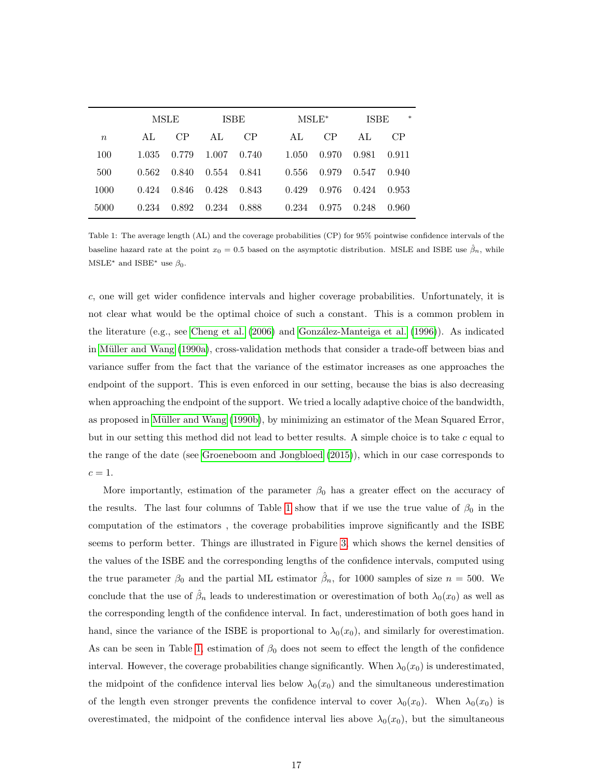<span id="page-16-0"></span>

|                  |       | MSLE        |                 | <b>ISBE</b> |  | $MSLE^*$ |       | $\ast$<br><b>ISBE</b> |       |
|------------------|-------|-------------|-----------------|-------------|--|----------|-------|-----------------------|-------|
| $\boldsymbol{n}$ | AL.   | CP          | AI <sub>1</sub> | CP          |  | AL.      | CP    | AL.                   | CP    |
| 100              | 1.035 | 0.779       | 1.007           | 0.740       |  | 1.050    | 0.970 | 0.981                 | 0.911 |
| 500              | 0.562 | 0.840       | 0.554 0.841     |             |  | 0.556    | 0.979 | 0.547                 | 0.940 |
| 1000             | 0.424 | 0.846 0.428 |                 | 0.843       |  | 0.429    | 0.976 | 0.424                 | 0.953 |
| 5000             | 0.234 | 0.892       | 0.234           | 0.888       |  | 0.234    | 0.975 | 0.248                 | 0.960 |

Table 1: The average length (AL) and the coverage probabilities (CP) for 95% pointwise confidence intervals of the baseline hazard rate at the point  $x_0 = 0.5$  based on the asymptotic distribution. MSLE and ISBE use  $\hat{\beta}_n$ , while MSLE<sup>\*</sup> and ISBE<sup>\*</sup> use  $\beta_0$ .

c, one will get wider confidence intervals and higher coverage probabilities. Unfortunately, it is not clear what would be the optimal choice of such a constant. This is a common problem in the literature (e.g., see [Cheng et al.](#page-36-9) [\(2006\)](#page-36-9) and González-Manteiga et al. [\(1996\)](#page-37-11)). As indicated in Müller and Wang [\(1990a\)](#page-37-12), cross-validation methods that consider a trade-off between bias and variance suffer from the fact that the variance of the estimator increases as one approaches the endpoint of the support. This is even enforced in our setting, because the bias is also decreasing when approaching the endpoint of the support. We tried a locally adaptive choice of the bandwidth, as proposed in Müller and Wang [\(1990b\)](#page-38-9), by minimizing an estimator of the Mean Squared Error, but in our setting this method did not lead to better results. A simple choice is to take  $c$  equal to the range of the date (see [Groeneboom and Jongbloed](#page-37-10) [\(2015\)](#page-37-10)), which in our case corresponds to  $c=1.$ 

More importantly, estimation of the parameter  $\beta_0$  has a greater effect on the accuracy of the results. The last four columns of Table [1](#page-16-0) show that if we use the true value of  $\beta_0$  in the computation of the estimators , the coverage probabilities improve significantly and the ISBE seems to perform better. Things are illustrated in Figure [3,](#page-17-0) which shows the kernel densities of the values of the ISBE and the corresponding lengths of the confidence intervals, computed using the true parameter  $\beta_0$  and the partial ML estimator  $\hat{\beta}_n$ , for 1000 samples of size  $n = 500$ . We conclude that the use of  $\hat{\beta}_n$  leads to underestimation or overestimation of both  $\lambda_0(x_0)$  as well as the corresponding length of the confidence interval. In fact, underestimation of both goes hand in hand, since the variance of the ISBE is proportional to  $\lambda_0(x_0)$ , and similarly for overestimation. As can be seen in Table [1,](#page-16-0) estimation of  $\beta_0$  does not seem to effect the length of the confidence interval. However, the coverage probabilities change significantly. When  $\lambda_0(x_0)$  is underestimated, the midpoint of the confidence interval lies below  $\lambda_0(x_0)$  and the simultaneous underestimation of the length even stronger prevents the confidence interval to cover  $\lambda_0(x_0)$ . When  $\lambda_0(x_0)$  is overestimated, the midpoint of the confidence interval lies above  $\lambda_0(x_0)$ , but the simultaneous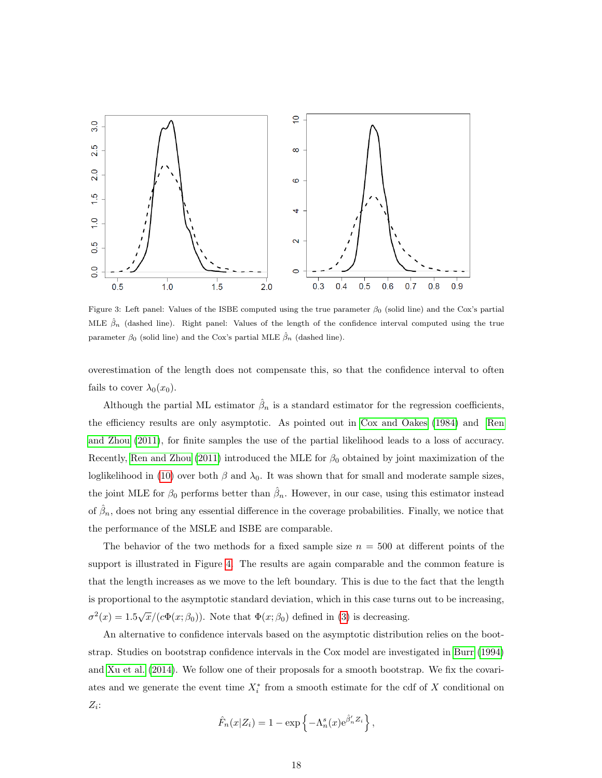<span id="page-17-0"></span>

Figure 3: Left panel: Values of the ISBE computed using the true parameter  $\beta_0$  (solid line) and the Cox's partial MLE  $\hat{\beta}_n$  (dashed line). Right panel: Values of the length of the confidence interval computed using the true parameter  $\beta_0$  (solid line) and the Cox's partial MLE  $\hat{\beta}_n$  (dashed line).

overestimation of the length does not compensate this, so that the confidence interval to often fails to cover  $\lambda_0(x_0)$ .

Although the partial ML estimator  $\hat{\beta}_n$  is a standard estimator for the regression coefficients, the efficiency results are only asymptotic. As pointed out in [Cox and Oakes](#page-36-10) [\(1984\)](#page-36-10) and [Ren](#page-38-10) [and Zhou](#page-38-10) [\(2011\)](#page-38-10), for finite samples the use of the partial likelihood leads to a loss of accuracy. Recently, [Ren and Zhou](#page-38-10) [\(2011\)](#page-38-10) introduced the MLE for  $\beta_0$  obtained by joint maximization of the loglikelihood in [\(10\)](#page-5-5) over both  $\beta$  and  $\lambda_0$ . It was shown that for small and moderate sample sizes, the joint MLE for  $\beta_0$  performs better than  $\hat{\beta}_n$ . However, in our case, using this estimator instead of  $\hat{\beta}_n$ , does not bring any essential difference in the coverage probabilities. Finally, we notice that the performance of the MSLE and ISBE are comparable.

The behavior of the two methods for a fixed sample size  $n = 500$  at different points of the support is illustrated in Figure [4.](#page-18-0) The results are again comparable and the common feature is that the length increases as we move to the left boundary. This is due to the fact that the length is proportional to the asymptotic standard deviation, which in this case turns out to be increasing,  $\sigma^2(x) = 1.5\sqrt{x}/(c\Phi(x;\beta_0))$ . Note that  $\Phi(x;\beta_0)$  defined in [\(3\)](#page-4-0) is decreasing.

An alternative to confidence intervals based on the asymptotic distribution relies on the bootstrap. Studies on bootstrap confidence intervals in the Cox model are investigated in [Burr](#page-36-11) [\(1994\)](#page-36-11) and [Xu et al.](#page-39-0) [\(2014\)](#page-39-0). We follow one of their proposals for a smooth bootstrap. We fix the covariates and we generate the event time  $X_i^*$  from a smooth estimate for the cdf of X conditional on  $Z_i$ :

$$
\hat{F}_n(x|Z_i) = 1 - \exp\left\{-\Lambda_n^s(x)e^{\hat{\beta}_n'Z_i}\right\},\,
$$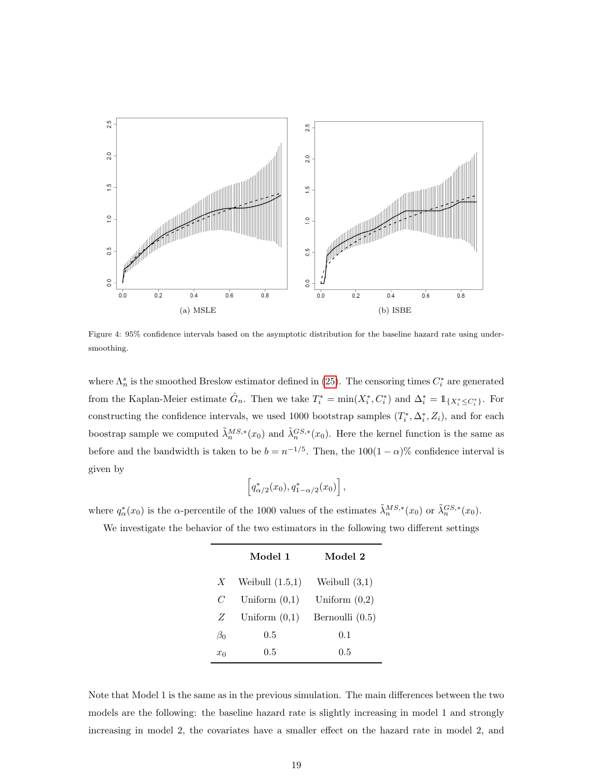<span id="page-18-0"></span>

Figure 4: 95% confidence intervals based on the asymptotic distribution for the baseline hazard rate using undersmoothing.

where  $\Lambda_n^s$  is the smoothed Breslow estimator defined in [\(25\)](#page-11-1). The censoring times  $C_i^*$  are generated from the Kaplan-Meier estimate  $\hat{G}_n$ . Then we take  $T_i^* = \min(X_i^*, C_i^*)$  and  $\Delta_i^* = \mathbb{1}_{\{X_i^* \leq C_i^*\}}$ . For constructing the confidence intervals, we used 1000 bootstrap samples  $(T_i^*, \Delta_i^*, Z_i)$ , and for each boostrap sample we computed  $\tilde{\lambda}_n^{MS,*}(x_0)$  and  $\tilde{\lambda}_n^{GS,*}(x_0)$ . Here the kernel function is the same as before and the bandwidth is taken to be  $b = n^{-1/5}$ . Then, the  $100(1 - \alpha)\%$  confidence interval is given by

$$
\[q^*_{\alpha/2}(x_0), q^*_{1-\alpha/2}(x_0)\],
$$

where  $q_{\alpha}^*(x_0)$  is the  $\alpha$ -percentile of the 1000 values of the estimates  $\tilde{\lambda}_n^{MS,*}(x_0)$  or  $\tilde{\lambda}_n^{GS,*}(x_0)$ .

We investigate the behavior of the two estimators in the following two different settings

|              | Model 1           | Model 2           |
|--------------|-------------------|-------------------|
| X            | Weibull $(1.5,1)$ | Weibull $(3,1)$   |
| $\mathcal C$ | Uniform $(0,1)$   | Uniform $(0,2)$   |
| Z            | Uniform $(0,1)$   | Bernoulli $(0.5)$ |
| $\beta_0$    | 0.5               | 0.1               |
| $x_0$        | $0.5\,$           | $0.5\,$           |

Note that Model 1 is the same as in the previous simulation. The main differences between the two models are the following: the baseline hazard rate is slightly increasing in model 1 and strongly increasing in model 2, the covariates have a smaller effect on the hazard rate in model 2, and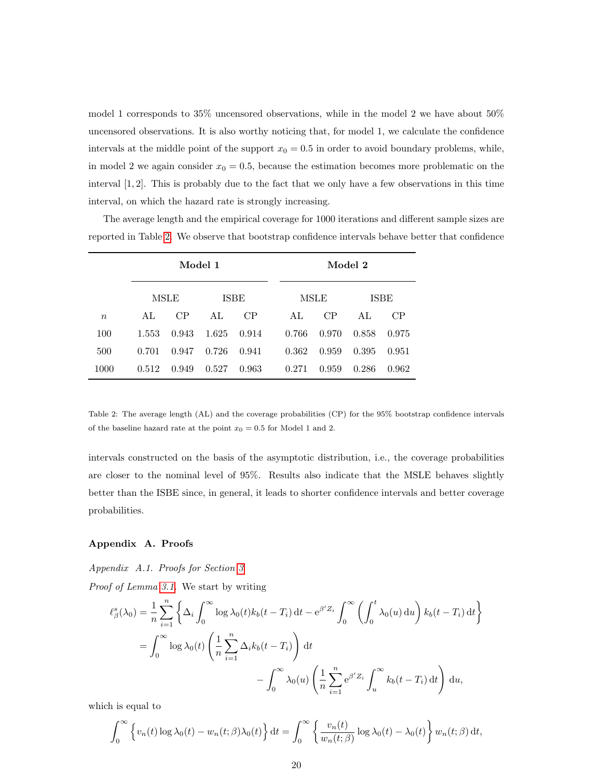model 1 corresponds to 35% uncensored observations, while in the model 2 we have about 50% uncensored observations. It is also worthy noticing that, for model 1, we calculate the confidence intervals at the middle point of the support  $x_0 = 0.5$  in order to avoid boundary problems, while, in model 2 we again consider  $x_0 = 0.5$ , because the estimation becomes more problematic on the interval  $[1, 2]$ . This is probably due to the fact that we only have a few observations in this time interval, on which the hazard rate is strongly increasing.

The average length and the empirical coverage for 1000 iterations and different sample sizes are reported in Table [2.](#page-19-1) We observe that bootstrap confidence intervals behave better that confidence

<span id="page-19-1"></span>

|        | Model 1 |       |       |             |  | Model 2 |       |       |             |  |  |
|--------|---------|-------|-------|-------------|--|---------|-------|-------|-------------|--|--|
|        |         | MSLE  |       | <b>ISBE</b> |  | MSLE    |       |       | <b>ISBE</b> |  |  |
| $\, n$ | AL      | CP    | AL    | CP          |  | AL      | CP    | AL    | CP          |  |  |
| 100    | 1.553   | 0.943 | 1.625 | 0.914       |  | 0.766   | 0.970 | 0.858 | 0.975       |  |  |
| 500    | 0.701   | 0.947 | 0.726 | 0.941       |  | 0.362   | 0.959 | 0.395 | 0.951       |  |  |
| 1000   | 0.512   | 0.949 | 0.527 | 0.963       |  | 0.271   | 0.959 | 0.286 | 0.962       |  |  |

Table 2: The average length (AL) and the coverage probabilities (CP) for the 95% bootstrap confidence intervals of the baseline hazard rate at the point  $x_0 = 0.5$  for Model 1 and 2.

intervals constructed on the basis of the asymptotic distribution, i.e., the coverage probabilities are closer to the nominal level of 95%. Results also indicate that the MSLE behaves slightly better than the ISBE since, in general, it leads to shorter confidence intervals and better coverage probabilities.

### Appendix A. Proofs

<span id="page-19-0"></span>Appendix A.1. Proofs for Section [3](#page-5-0) Proof of Lemma [3.1.](#page-5-3) We start by writing

$$
\ell_{\beta}^{s}(\lambda_{0}) = \frac{1}{n} \sum_{i=1}^{n} \left\{ \Delta_{i} \int_{0}^{\infty} \log \lambda_{0}(t) k_{b}(t - T_{i}) dt - e^{\beta' Z_{i}} \int_{0}^{\infty} \left( \int_{0}^{t} \lambda_{0}(u) du \right) k_{b}(t - T_{i}) dt \right\}
$$

$$
= \int_{0}^{\infty} \log \lambda_{0}(t) \left( \frac{1}{n} \sum_{i=1}^{n} \Delta_{i} k_{b}(t - T_{i}) \right) dt - \int_{0}^{\infty} \lambda_{0}(u) \left( \frac{1}{n} \sum_{i=1}^{n} e^{\beta' Z_{i}} \int_{u}^{\infty} k_{b}(t - T_{i}) dt \right) du,
$$

which is equal to

$$
\int_0^\infty \left\{ v_n(t) \log \lambda_0(t) - w_n(t;\beta) \lambda_0(t) \right\} dt = \int_0^\infty \left\{ \frac{v_n(t)}{w_n(t;\beta)} \log \lambda_0(t) - \lambda_0(t) \right\} w_n(t;\beta) dt,
$$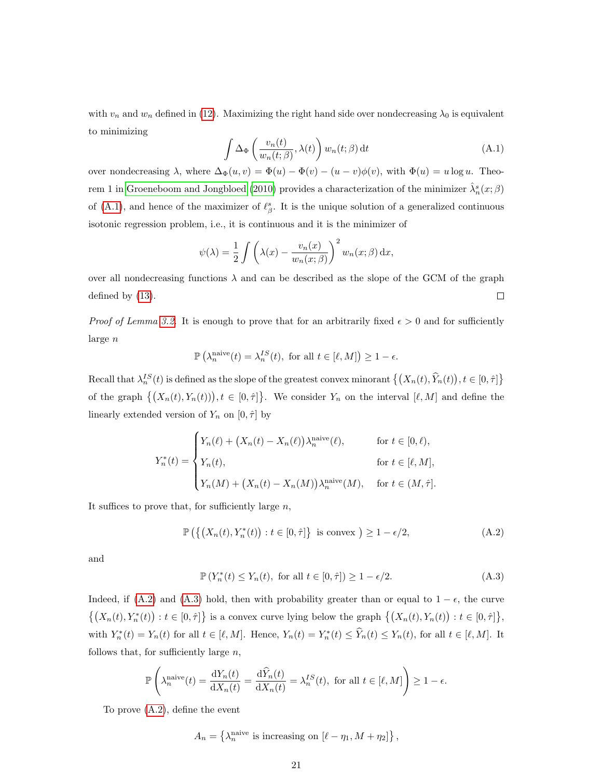<span id="page-20-0"></span>with  $v_n$  and  $w_n$  defined in [\(12\)](#page-5-2). Maximizing the right hand side over nondecreasing  $\lambda_0$  is equivalent to minimizing

$$
\int \Delta_{\Phi} \left( \frac{v_n(t)}{w_n(t;\beta)}, \lambda(t) \right) w_n(t;\beta) dt \tag{A.1}
$$

over nondecreasing  $\lambda$ , where  $\Delta_{\Phi}(u, v) = \Phi(u) - \Phi(v) - (u - v)\phi(v)$ , with  $\Phi(u) = u \log u$ . Theo-rem 1 in [Groeneboom and Jongbloed](#page-37-8) [\(2010\)](#page-37-8) provides a characterization of the minimizer  $\hat{\lambda}_n^s(x;\beta)$ of [\(A.1\)](#page-20-0), and hence of the maximizer of  $\ell_{\beta}^{s}$ . It is the unique solution of a generalized continuous isotonic regression problem, i.e., it is continuous and it is the minimizer of

$$
\psi(\lambda) = \frac{1}{2} \int \left( \lambda(x) - \frac{v_n(x)}{w_n(x;\beta)} \right)^2 w_n(x;\beta) dx,
$$

over all nondecreasing functions  $\lambda$  and can be described as the slope of the GCM of the graph defined by [\(13\)](#page-5-4).  $\Box$ 

*Proof of Lemma [3.2.](#page-7-1)* It is enough to prove that for an arbitrarily fixed  $\epsilon > 0$  and for sufficiently large n

$$
\mathbb{P}\left(\lambda_n^{\text{naive}}(t) = \lambda_n^{IS}(t), \text{ for all } t \in [\ell, M]\right) \ge 1 - \epsilon.
$$

Recall that  $\lambda_n^{IS}(t)$  is defined as the slope of the greatest convex minorant  $\{(X_n(t), \hat{Y}_n(t)), t \in [0, \hat{\tau}]\}$ of the graph  $\{(X_n(t), Y_n(t))\}, t \in [0, \hat{\tau}]\}.$  We consider  $Y_n$  on the interval  $[\ell, M]$  and define the linearly extended version of  $Y_n$  on  $[0, \hat{\tau}]$  by

$$
Y_n^*(t) = \begin{cases} Y_n(\ell) + (X_n(t) - X_n(\ell))\lambda_n^{\text{naive}}(\ell), & \text{for } t \in [0, \ell), \\ Y_n(t), & \text{for } t \in [\ell, M], \\ Y_n(M) + (X_n(t) - X_n(M))\lambda_n^{\text{naive}}(M), & \text{for } t \in (M, \hat{\tau}]. \end{cases}
$$

It suffices to prove that, for sufficiently large  $n$ ,

<span id="page-20-1"></span>
$$
\mathbb{P}\left(\left\{\left(X_n(t), Y_n^*(t)\right) : t \in [0, \hat{\tau}]\right\} \text{ is convex }\right) \ge 1 - \epsilon/2,
$$
\n(A.2)

<span id="page-20-2"></span>and

$$
\mathbb{P}\left(Y_n^*(t) \le Y_n(t), \text{ for all } t \in [0, \hat{\tau}]\right) \ge 1 - \epsilon/2. \tag{A.3}
$$

Indeed, if [\(A.2\)](#page-20-1) and [\(A.3\)](#page-20-2) hold, then with probability greater than or equal to  $1 - \epsilon$ , the curve  $\{(X_n(t), Y_n^*(t)) : t \in [0, \hat{\tau}]\}\$ is a convex curve lying below the graph  $\{(X_n(t), Y_n(t)) : t \in [0, \hat{\tau}]\},\$ with  $Y_n^*(t) = Y_n(t)$  for all  $t \in [\ell, M]$ . Hence,  $Y_n(t) = Y_n^*(t) \le \hat{Y}_n(t) \le Y_n(t)$ , for all  $t \in [\ell, M]$ . It follows that, for sufficiently large  $n$ ,

$$
\mathbb{P}\left(\lambda_n^{\text{naive}}(t) = \frac{\mathrm{d}Y_n(t)}{\mathrm{d}X_n(t)} = \frac{\mathrm{d}\widehat{Y}_n(t)}{\mathrm{d}X_n(t)} = \lambda_n^{IS}(t), \text{ for all } t \in [\ell, M]\right) \ge 1 - \epsilon.
$$

To prove [\(A.2\)](#page-20-1), define the event

$$
A_n = \left\{ \lambda_n^{\text{naive}} \text{ is increasing on } [\ell - \eta_1, M + \eta_2] \right\},\,
$$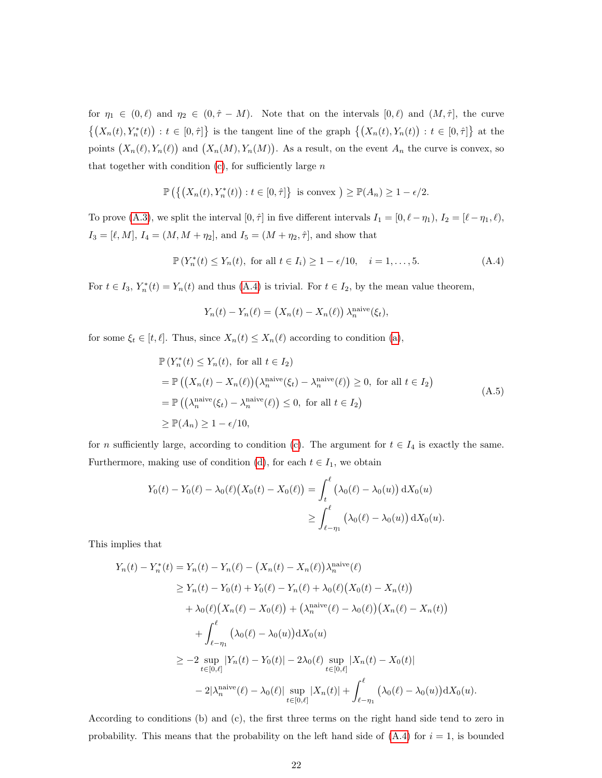for  $\eta_1 \in (0, \ell)$  and  $\eta_2 \in (0, \hat{\tau} - M)$ . Note that on the intervals  $[0, \ell)$  and  $(M, \hat{\tau}]$ , the curve  $\{(X_n(t), Y_n^*(t)) : t \in [0, \hat{\tau}]\}\$ is the tangent line of the graph  $\{(X_n(t), Y_n(t)) : t \in [0, \hat{\tau}]\}\$ at the points  $(X_n(\ell), Y_n(\ell))$  and  $(X_n(M), Y_n(M))$ . As a result, on the event  $A_n$  the curve is convex, so that together with condition  $(c)$ , for sufficiently large  $n$ 

$$
\mathbb{P}\left(\left\{\left(X_n(t), Y_n^*(t)\right) : t \in [0, \hat{\tau}]\right\} \text{ is convex }\right) \ge \mathbb{P}(A_n) \ge 1 - \epsilon/2.
$$

To prove [\(A.3\)](#page-20-2), we split the interval  $[0, \hat{\tau}]$  in five different intervals  $I_1 = [0, \ell - \eta_1), I_2 = [\ell - \eta_1, \ell),$  $I_3 = [\ell, M], \, I_4 = (M, M + \eta_2],$  and  $I_5 = (M + \eta_2, \hat{\tau}],$  and show that

$$
\mathbb{P}\left(Y_n^*(t) \le Y_n(t), \text{ for all } t \in I_i\right) \ge 1 - \epsilon/10, \quad i = 1, \dots, 5. \tag{A.4}
$$

For  $t \in I_3$ ,  $Y_n^*(t) = Y_n(t)$  and thus [\(A.4\)](#page-21-0) is trivial. For  $t \in I_2$ , by the mean value theorem,

<span id="page-21-0"></span>
$$
Y_n(t) - Y_n(\ell) = (X_n(t) - X_n(\ell)) \lambda_n^{\text{naive}}(\xi_t),
$$

for some  $\xi_t \in [t, \ell]$ . Thus, since  $X_n(t) \le X_n(\ell)$  according to condition [\(a\)](#page-7-2),

$$
\mathbb{P}\left(Y_n^*(t) \le Y_n(t), \text{ for all } t \in I_2\right)
$$
  
= 
$$
\mathbb{P}\left(\left(X_n(t) - X_n(\ell)\right)\left(\lambda_n^{\text{naive}}(\xi_t) - \lambda_n^{\text{naive}}(\ell)\right) \ge 0, \text{ for all } t \in I_2\right)
$$
  
= 
$$
\mathbb{P}\left(\left(\lambda_n^{\text{naive}}(\xi_t) - \lambda_n^{\text{naive}}(\ell)\right) \le 0, \text{ for all } t \in I_2\right)
$$
  

$$
\ge \mathbb{P}(A_n) \ge 1 - \epsilon/10,
$$
 (A.5)

for *n* sufficiently large, according to condition [\(c\)](#page-8-2). The argument for  $t \in I_4$  is exactly the same. Furthermore, making use of condition [\(d\)](#page-8-3), for each  $t \in I_1$ , we obtain

$$
Y_0(t) - Y_0(\ell) - \lambda_0(\ell) (X_0(t) - X_0(\ell)) = \int_t^\ell (\lambda_0(\ell) - \lambda_0(u)) dX_0(u)
$$
  

$$
\geq \int_{\ell - \eta_1}^\ell (\lambda_0(\ell) - \lambda_0(u)) dX_0(u).
$$

This implies that

$$
Y_n(t) - Y_n^*(t) = Y_n(t) - Y_n(\ell) - (X_n(t) - X_n(\ell))\lambda_n^{\text{naive}}(\ell)
$$
  
\n
$$
\geq Y_n(t) - Y_0(t) + Y_0(\ell) - Y_n(\ell) + \lambda_0(\ell)(X_0(t) - X_n(t))
$$
  
\n
$$
+ \lambda_0(\ell)(X_n(\ell) - X_0(\ell)) + (\lambda_n^{\text{naive}}(\ell) - \lambda_0(\ell))(X_n(\ell) - X_n(t))
$$
  
\n
$$
+ \int_{\ell-\eta_1}^{\ell} (\lambda_0(\ell) - \lambda_0(u))dX_0(u)
$$
  
\n
$$
\geq -2 \sup_{t \in [0,\ell]} |Y_n(t) - Y_0(t)| - 2\lambda_0(\ell) \sup_{t \in [0,\ell]} |X_n(t) - X_0(t)|
$$
  
\n
$$
-2|\lambda_n^{\text{naive}}(\ell) - \lambda_0(\ell)| \sup_{t \in [0,\ell]} |X_n(t)| + \int_{\ell-\eta_1}^{\ell} (\lambda_0(\ell) - \lambda_0(u))dX_0(u).
$$

According to conditions (b) and (c), the first three terms on the right hand side tend to zero in probability. This means that the probability on the left hand side of  $(A.4)$  for  $i = 1$ , is bounded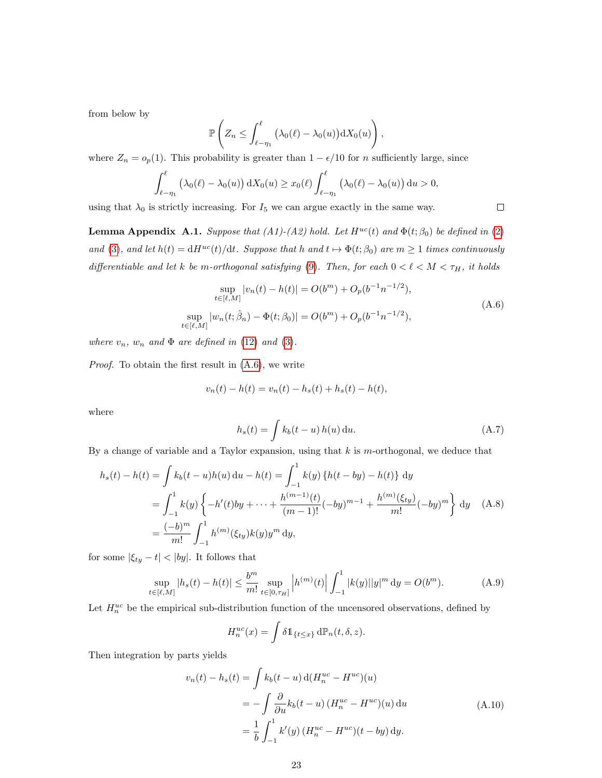from below by

$$
\mathbb{P}\left(Z_n \leq \int_{\ell-\eta_1}^{\ell} \left(\lambda_0(\ell) - \lambda_0(u)\right) dX_0(u)\right),\,
$$

where  $Z_n = o_p(1)$ . This probability is greater than  $1 - \epsilon/10$  for n sufficiently large, since

$$
\int_{\ell-\eta_1}^{\ell} \left(\lambda_0(\ell)-\lambda_0(u)\right) dX_0(u) \geq x_0(\ell) \int_{\ell-\eta_1}^{\ell} \left(\lambda_0(\ell)-\lambda_0(u)\right) du > 0,
$$

using that  $\lambda_0$  is strictly increasing. For  $I_5$  we can argue exactly in the same way.

<span id="page-22-0"></span>**Lemma Appendix A.1.** Suppose that (A1)-(A2) hold. Let  $H^{uc}(t)$  and  $\Phi(t;\beta_0)$  be defined in [\(2\)](#page-3-1) and [\(3\)](#page-4-0), and let  $h(t) = dH^{uc}(t)/dt$ . Suppose that h and  $t \mapsto \Phi(t; \beta_0)$  are  $m \ge 1$  times continuously differentiable and let k be m-orthogonal satisfying [\(9\)](#page-4-2). Then, for each  $0 < \ell < M < \tau_H$ , it holds

$$
\sup_{t \in [\ell,M]} |v_n(t) - h(t)| = O(b^m) + O_p(b^{-1}n^{-1/2}),
$$
  
\n
$$
\sup_{t \in [\ell,M]} |w_n(t; \hat{\beta}_n) - \Phi(t; \beta_0)| = O(b^m) + O_p(b^{-1}n^{-1/2}),
$$
\n(A.6)

where  $v_n$ ,  $w_n$  and  $\Phi$  are defined in [\(12\)](#page-5-2) and [\(3\)](#page-4-0).

Proof. To obtain the first result in [\(A.6\)](#page-22-1), we write

$$
v_n(t) - h(t) = v_n(t) - h_s(t) + h_s(t) - h(t),
$$

<span id="page-22-4"></span>where

$$
h_s(t) = \int k_b(t - u) h(u) \, \mathrm{d}u. \tag{A.7}
$$

By a change of variable and a Taylor expansion, using that  $k$  is m-orthogonal, we deduce that

$$
h_s(t) - h(t) = \int k_b(t - u)h(u) du - h(t) = \int_{-1}^{1} k(y) \{h(t - by) - h(t)\} dy
$$
  
= 
$$
\int_{-1}^{1} k(y) \left\{-h'(t)by + \dots + \frac{h^{(m-1)}(t)}{(m-1)!}(-by)^{m-1} + \frac{h^{(m)}(\xi_{ty})}{m!}(-by)^m\right\} dy
$$
 (A.8)  
= 
$$
\frac{(-b)^m}{m!} \int_{-1}^{1} h^{(m)}(\xi_{ty})k(y)y^m dy,
$$

for some  $|\xi_{ty} - t| < |by|$ . It follows that

$$
\sup_{t \in [\ell,M]} |h_s(t) - h(t)| \le \frac{b^m}{m!} \sup_{t \in [0,\tau_H]} \left| h^{(m)}(t) \right| \int_{-1}^1 |k(y)| |y|^m dy = O(b^m). \tag{A.9}
$$

Let  $H_n^{uc}$  be the empirical sub-distribution function of the uncensored observations, defined by

<span id="page-22-5"></span><span id="page-22-2"></span>
$$
H_n^{uc}(x) = \int \delta \mathbb{1}_{\{t \le x\}} \, d\mathbb{P}_n(t, \delta, z).
$$

Then integration by parts yields

$$
v_n(t) - h_s(t) = \int k_b(t - u) d(H_n^{uc} - H^{uc})(u)
$$
  
= 
$$
- \int \frac{\partial}{\partial u} k_b(t - u) (H_n^{uc} - H^{uc})(u) du
$$
  
= 
$$
\frac{1}{b} \int_{-1}^1 k'(y) (H_n^{uc} - H^{uc})(t - by) dy.
$$
 (A.10)

<span id="page-22-3"></span><span id="page-22-1"></span>
$$
\qquad \qquad \Box
$$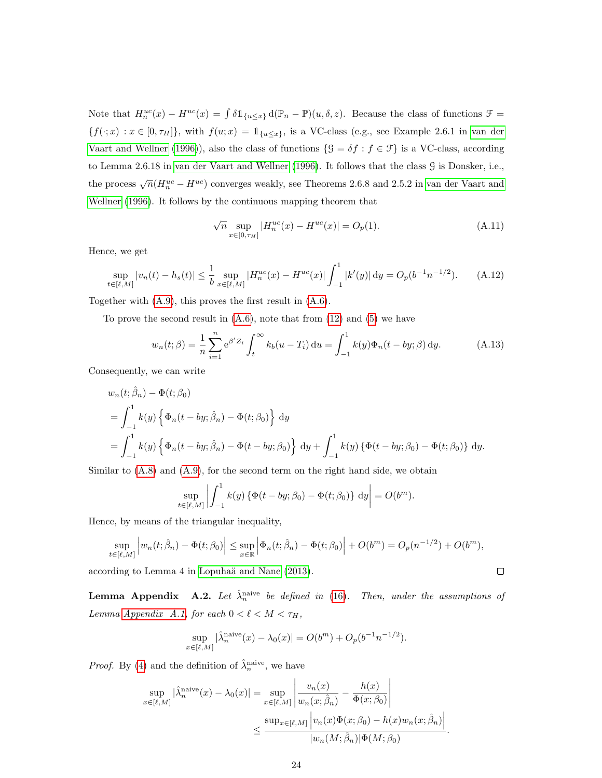Note that  $H_n^{uc}(x) - H^{uc}(x) = \int \delta \mathbb{1}_{\{u \leq x\}} d(\mathbb{P}_n - \mathbb{P})(u, \delta, z)$ . Because the class of functions  $\mathcal{F} =$  ${f(\cdot; x) : x \in [0, \tau_H]}$ , with  $f(u; x) = 1_{\{u \le x\}}$ , is a VC-class (e.g., see Example 2.6.1 in [van der](#page-38-11) [Vaart and Wellner](#page-38-11) [\(1996\)](#page-38-11)), also the class of functions  $\{\mathcal{G} = \delta f : f \in \mathcal{F}\}\$ is a VC-class, according to Lemma 2.6.18 in [van der Vaart and Wellner](#page-38-11) [\(1996\)](#page-38-11). It follows that the class G is Donsker, i.e., the process  $\sqrt{n}(H_n^{uc} - H^{uc})$  converges weakly, see Theorems 2.6.8 and 2.5.2 in [van der Vaart and](#page-38-11) [Wellner](#page-38-11) [\(1996\)](#page-38-11). It follows by the continuous mapping theorem that

<span id="page-23-2"></span>
$$
\sqrt{n} \sup_{x \in [0, \tau_H]} |H_n^{uc}(x) - H^{uc}(x)| = O_p(1). \tag{A.11}
$$

Hence, we get

<span id="page-23-1"></span>
$$
\sup_{t \in [\ell, M]} |v_n(t) - h_s(t)| \le \frac{1}{b} \sup_{x \in [\ell, M]} |H_n^{uc}(x) - H^{uc}(x)| \int_{-1}^1 |k'(y)| \, dy = O_p(b^{-1}n^{-1/2}). \tag{A.12}
$$

Together with [\(A.9\)](#page-22-2), this proves the first result in [\(A.6\)](#page-22-1).

To prove the second result in  $(A.6)$ , note that from  $(12)$  and  $(5)$  we have

$$
w_n(t; \beta) = \frac{1}{n} \sum_{i=1}^n e^{\beta' Z_i} \int_t^{\infty} k_b(u - T_i) \, \mathrm{d}u = \int_{-1}^1 k(y) \Phi_n(t - by; \beta) \, \mathrm{d}y. \tag{A.13}
$$

Consequently, we can write

$$
w_n(t; \hat{\beta}_n) - \Phi(t; \beta_0)
$$
  
=  $\int_{-1}^1 k(y) \left\{ \Phi_n(t - by; \hat{\beta}_n) - \Phi(t; \beta_0) \right\} dy$   
=  $\int_{-1}^1 k(y) \left\{ \Phi_n(t - by; \hat{\beta}_n) - \Phi(t - by; \beta_0) \right\} dy + \int_{-1}^1 k(y) \left\{ \Phi(t - by; \beta_0) - \Phi(t; \beta_0) \right\} dy.$ 

Similar to  $(A.8)$  and  $(A.9)$ , for the second term on the right hand side, we obtain

$$
\sup_{t \in [\ell, M]} \left| \int_{-1}^{1} k(y) \left\{ \Phi(t - by; \beta_0) - \Phi(t; \beta_0) \right\} dy \right| = O(b^m).
$$

Hence, by means of the triangular inequality,

$$
\sup_{t \in [\ell,M]} \left| w_n(t; \hat{\beta}_n) - \Phi(t; \beta_0) \right| \leq \sup_{x \in \mathbb{R}} \left| \Phi_n(t; \hat{\beta}_n) - \Phi(t; \beta_0) \right| + O(b^m) = O_p(n^{-1/2}) + O(b^m),
$$

according to Lemma 4 in Lopuhaä and Nane [\(2013\)](#page-37-1).

<span id="page-23-0"></span>**Lemma Appendix** A.2. Let  $\hat{\lambda}_n^{\text{naive}}$  be defined in [\(16\)](#page-6-0). Then, under the assumptions of Lemma [Appendix A.1,](#page-22-0) for each  $0 < \ell < M < \tau_H$ ,

$$
\sup_{x \in [\ell,M]} |\hat{\lambda}_n^{\text{naive}}(x) - \lambda_0(x)| = O(b^m) + O_p(b^{-1}n^{-1/2}).
$$

*Proof.* By [\(4\)](#page-4-1) and the definition of  $\hat{\lambda}_n^{\text{naive}}$ , we have

$$
\sup_{x \in [\ell,M]} |\hat{\lambda}_n^{\text{naive}}(x) - \lambda_0(x)| = \sup_{x \in [\ell,M]} \left| \frac{v_n(x)}{w_n(x;\hat{\beta}_n)} - \frac{h(x)}{\Phi(x;\beta_0)} \right|
$$
  

$$
\leq \frac{\sup_{x \in [\ell,M]} |v_n(x)\Phi(x;\beta_0) - h(x)w_n(x;\hat{\beta}_n)|}{|w_n(M;\hat{\beta}_n)|\Phi(M;\beta_0)}
$$

.

 $\Box$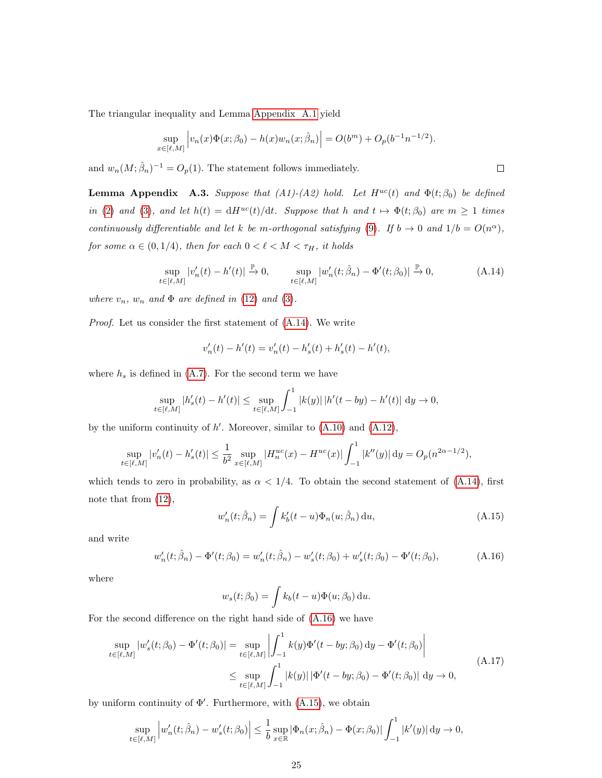The triangular inequality and Lemma [Appendix A.1](#page-22-0) yield

$$
\sup_{x \in [\ell,M]} \left| v_n(x) \Phi(x; \beta_0) - h(x) w_n(x; \hat{\beta}_n) \right| = O(b^m) + O_p(b^{-1}n^{-1/2}).
$$

and  $w_n(M; \hat{\beta}_n)^{-1} = O_p(1)$ . The statement follows immediately.

<span id="page-24-0"></span>**Lemma Appendix A.3.** Suppose that (A1)-(A2) hold. Let  $H^{uc}(t)$  and  $\Phi(t;\beta_0)$  be defined in [\(2\)](#page-3-1) and [\(3\)](#page-4-0), and let  $h(t) = dH^{uc}(t)/dt$ . Suppose that h and  $t \mapsto \Phi(t; \beta_0)$  are  $m \ge 1$  times continuously differentiable and let k be m-orthogonal satisfying [\(9\)](#page-4-2). If  $b \to 0$  and  $1/b = O(n^{\alpha})$ , for some  $\alpha \in (0, 1/4),$  then for each  $0 < \ell < M < \tau_H,$  it holds

$$
\sup_{t \in [\ell,M]} |v_n'(t) - h'(t)| \xrightarrow{\mathbb{P}} 0, \qquad \sup_{t \in [\ell,M]} |w_n'(t; \hat{\beta}_n) - \Phi'(t; \beta_0)| \xrightarrow{\mathbb{P}} 0,
$$
\n(A.14)

where  $v_n$ ,  $w_n$  and  $\Phi$  are defined in [\(12\)](#page-5-2) and [\(3\)](#page-4-0).

Proof. Let us consider the first statement of [\(A.14\)](#page-24-1). We write

<span id="page-24-1"></span>
$$
v'_{n}(t) - h'(t) = v'_{n}(t) - h'_{s}(t) + h'_{s}(t) - h'(t),
$$

where  $h_s$  is defined in [\(A.7\)](#page-22-4). For the second term we have

$$
\sup_{t \in [\ell,M]} |h'_s(t) - h'(t)| \le \sup_{t \in [\ell,M]} \int_{-1}^1 |k(y)| |h'(t - by) - h'(t)| dy \to 0,
$$

by the uniform continuity of  $h'$ . Moreover, similar to  $(A.10)$  and  $(A.12)$ ,

$$
\sup_{t\in [\ell,M]}|v_n'(t)-h_s'(t)|\leq \frac{1}{b^2}\sup_{x\in [\ell,M]}|H_n^{uc}(x)-H^{uc}(x)|\int_{-1}^1|k''(y)|\,\mathrm{d} y=O_p(n^{2\alpha-1/2}),
$$

which tends to zero in probability, as  $\alpha < 1/4$ . To obtain the second statement of [\(A.14\)](#page-24-1), first note that from [\(12\)](#page-5-2),

<span id="page-24-3"></span>
$$
w'_n(t; \hat{\beta}_n) = \int k'_b(t - u)\Phi_n(u; \hat{\beta}_n) \, \mathrm{d}u,\tag{A.15}
$$

and write

<span id="page-24-2"></span>
$$
w'_n(t; \hat{\beta}_n) - \Phi'(t; \beta_0) = w'_n(t; \hat{\beta}_n) - w'_s(t; \beta_0) + w'_s(t; \beta_0) - \Phi'(t; \beta_0), \tag{A.16}
$$

where

<span id="page-24-4"></span>
$$
w_s(t; \beta_0) = \int k_b(t-u)\Phi(u; \beta_0) \, \mathrm{d}u.
$$

For the second difference on the right hand side of [\(A.16\)](#page-24-2) we have

$$
\sup_{t \in [\ell,M]} |w'_s(t;\beta_0) - \Phi'(t;\beta_0)| = \sup_{t \in [\ell,M]} \left| \int_{-1}^1 k(y)\Phi'(t - by;\beta_0) \,dy - \Phi'(t;\beta_0) \right|
$$
\n
$$
\leq \sup_{t \in [\ell,M]} \int_{-1}^1 |k(y)| \,|\Phi'(t - by;\beta_0) - \Phi'(t;\beta_0)| \,dy \to 0,
$$
\n(A.17)

by uniform continuity of  $\Phi'$ . Furthermore, with  $(A.15)$ , we obtain

$$
\sup_{t \in [\ell,M]} \left| w'_n(t; \hat{\beta}_n) - w'_s(t; \beta_0) \right| \leq \frac{1}{b} \sup_{x \in \mathbb{R}} |\Phi_n(x; \hat{\beta}_n) - \Phi(x; \beta_0)| \int_{-1}^1 |k'(y)| \, dy \to 0,
$$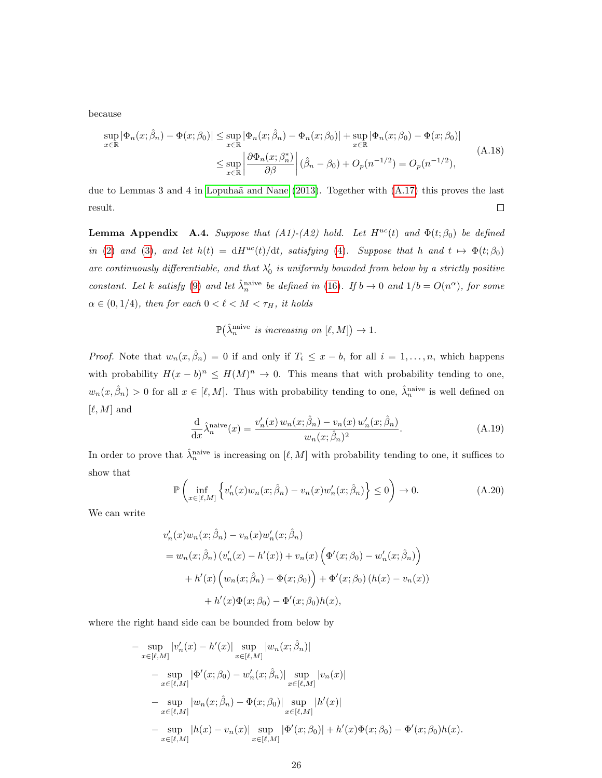because

<span id="page-25-2"></span>
$$
\sup_{x \in \mathbb{R}} |\Phi_n(x; \hat{\beta}_n) - \Phi(x; \beta_0)| \le \sup_{x \in \mathbb{R}} |\Phi_n(x; \hat{\beta}_n) - \Phi_n(x; \beta_0)| + \sup_{x \in \mathbb{R}} |\Phi_n(x; \beta_0) - \Phi(x; \beta_0)|
$$
  

$$
\le \sup_{x \in \mathbb{R}} \left| \frac{\partial \Phi_n(x; \beta^*_n)}{\partial \beta} \right| (\hat{\beta}_n - \beta_0) + O_p(n^{-1/2}) = O_p(n^{-1/2}),
$$
\n(A.18)

due to Lemmas 3 and 4 in Lopuhaä and Nane  $(2013)$ . Together with  $(A.17)$  this proves the last  $\Box$ result.

<span id="page-25-0"></span>**Lemma Appendix A.4.** Suppose that (A1)-(A2) hold. Let  $H^{uc}(t)$  and  $\Phi(t;\beta_0)$  be defined in [\(2\)](#page-3-1) and [\(3\)](#page-4-0), and let  $h(t) = dH^{uc}(t)/dt$ , satisfying [\(4\)](#page-4-1). Suppose that h and  $t \mapsto \Phi(t; \beta_0)$ are continuously differentiable, and that  $\lambda'_0$  is uniformly bounded from below by a strictly positive constant. Let k satisfy [\(9\)](#page-4-2) and let  $\hat{\lambda}_n^{\text{naive}}$  be defined in [\(16\)](#page-6-0). If  $b \to 0$  and  $1/b = O(n^{\alpha})$ , for some  $\alpha \in (0, 1/4)$ , then for each  $0 < \ell < M < \tau_H$ , it holds

$$
\mathbb{P}(\hat{\lambda}_{n}^{\text{naive}} \text{ is increasing on } [\ell, M]) \to 1.
$$

*Proof.* Note that  $w_n(x, \hat{\beta}_n) = 0$  if and only if  $T_i \leq x - b$ , for all  $i = 1, ..., n$ , which happens with probability  $H(x - b)^n \leq H(M)^n \to 0$ . This means that with probability tending to one,  $w_n(x, \hat{\beta}_n) > 0$  for all  $x \in [\ell, M]$ . Thus with probability tending to one,  $\hat{\lambda}_n^{\text{naive}}$  is well defined on  $[\ell, M]$  and

$$
\frac{\mathrm{d}}{\mathrm{d}x}\hat{\lambda}_n^{\text{naive}}(x) = \frac{v_n'(x)w_n(x;\hat{\beta}_n) - v_n(x)w_n'(x;\hat{\beta}_n)}{w_n(x;\hat{\beta}_n)^2}.
$$
\n(A.19)

In order to prove that  $\hat{\lambda}_n^{\text{naive}}$  is increasing on  $[\ell, M]$  with probability tending to one, it suffices to show that

<span id="page-25-1"></span>
$$
\mathbb{P}\left(\inf_{x\in[\ell,M]}\left\{v'_n(x)w_n(x;\hat{\beta}_n)-v_n(x)w'_n(x;\hat{\beta}_n)\right\}\leq 0\right)\to 0.\tag{A.20}
$$

We can write

$$
v'_{n}(x)w_{n}(x;\hat{\beta}_{n}) - v_{n}(x)w'_{n}(x;\hat{\beta}_{n})
$$
  
=  $w_{n}(x;\hat{\beta}_{n}) (v'_{n}(x) - h'(x)) + v_{n}(x) (\Phi'(x;\beta_{0}) - w'_{n}(x;\hat{\beta}_{n}))$   
+  $h'(x) (w_{n}(x;\hat{\beta}_{n}) - \Phi(x;\beta_{0})) + \Phi'(x;\beta_{0}) (h(x) - v_{n}(x))$   
+  $h'(x)\Phi(x;\beta_{0}) - \Phi'(x;\beta_{0})h(x),$ 

where the right hand side can be bounded from below by

$$
-\sup_{x \in [\ell,M]} |v'_n(x) - h'(x)| \sup_{x \in [\ell,M]} |w_n(x; \hat{\beta}_n)|
$$
  
\n
$$
-\sup_{x \in [\ell,M]} |\Phi'(x; \beta_0) - w'_n(x; \hat{\beta}_n)| \sup_{x \in [\ell,M]} |v_n(x)|
$$
  
\n
$$
-\sup_{x \in [\ell,M]} |w_n(x; \hat{\beta}_n) - \Phi(x; \beta_0)| \sup_{x \in [\ell,M]} |h'(x)|
$$
  
\n
$$
-\sup_{x \in [\ell,M]} |h(x) - v_n(x)| \sup_{x \in [\ell,M]} |\Phi'(x; \beta_0)| + h'(x) \Phi(x; \beta_0) - \Phi'(x; \beta_0)h(x).
$$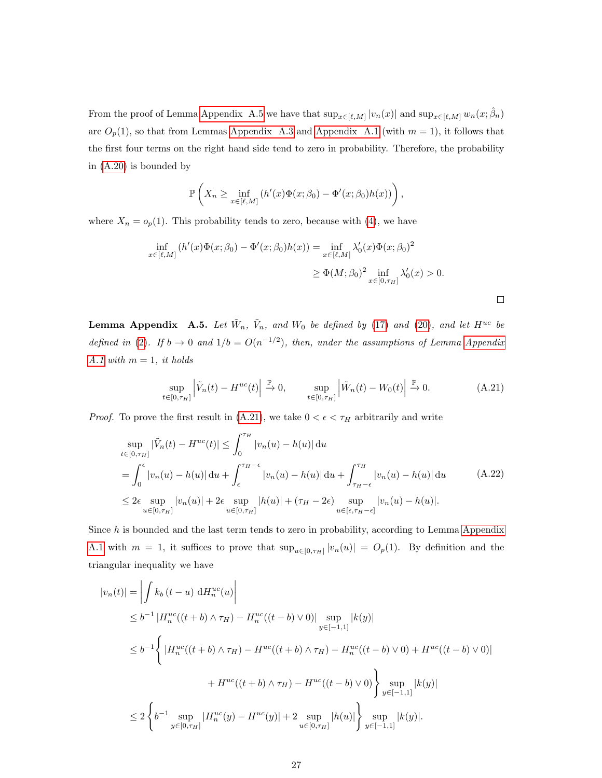From the proof of Lemma [Appendix A.5](#page-26-0) we have that  $\sup_{x \in [\ell,M]} |v_n(x)|$  and  $\sup_{x \in [\ell,M]} w_n(x; \hat{\beta}_n)$ are  $O_p(1)$ , so that from Lemmas [Appendix A.3](#page-24-0) and [Appendix A.1](#page-22-0) (with  $m = 1$ ), it follows that the first four terms on the right hand side tend to zero in probability. Therefore, the probability in [\(A.20\)](#page-25-1) is bounded by

$$
\mathbb{P}\left(X_n \geq \inf_{x \in [\ell,M]} \left(h'(x)\Phi(x;\beta_0) - \Phi'(x;\beta_0)h(x)\right)\right),\,
$$

where  $X_n = o_p(1)$ . This probability tends to zero, because with [\(4\)](#page-4-1), we have

$$
\inf_{x \in [\ell, M]} (h'(x)\Phi(x; \beta_0) - \Phi'(x; \beta_0)h(x)) = \inf_{x \in [\ell, M]} \lambda'_0(x)\Phi(x; \beta_0)^2
$$
  
\n
$$
\geq \Phi(M; \beta_0)^2 \inf_{x \in [0, \tau_H]} \lambda'_0(x) > 0.
$$

<span id="page-26-0"></span>**Lemma Appendix** A.5. Let  $\tilde{W}_n$ ,  $\tilde{V}_n$ , and  $W_0$  be defined by [\(17\)](#page-7-3) and [\(20\)](#page-8-5), and let  $H^{uc}$  be defined in [\(2\)](#page-3-1). If  $b \to 0$  and  $1/b = O(n^{-1/2})$ , then, under the assumptions of Lemma [Appendix](#page-22-0) [A.1](#page-22-0) with  $m = 1$ , it holds

<span id="page-26-2"></span><span id="page-26-1"></span>
$$
\sup_{t \in [0,\tau_H]} \left| \tilde{V}_n(t) - H^{uc}(t) \right| \xrightarrow{\mathbb{P}} 0, \qquad \sup_{t \in [0,\tau_H]} \left| \tilde{W}_n(t) - W_0(t) \right| \xrightarrow{\mathbb{P}} 0. \tag{A.21}
$$

*Proof.* To prove the first result in [\(A.21\)](#page-26-1), we take  $0 < \epsilon < \tau_H$  arbitrarily and write

$$
\sup_{t \in [0,\tau_H]} |\tilde{V}_n(t) - H^{uc}(t)| \le \int_0^{\tau_H} |v_n(u) - h(u)| \, \mathrm{d}u \n= \int_0^{\epsilon} |v_n(u) - h(u)| \, \mathrm{d}u + \int_{\epsilon}^{\tau_H - \epsilon} |v_n(u) - h(u)| \, \mathrm{d}u + \int_{\tau_H - \epsilon}^{\tau_H} |v_n(u) - h(u)| \, \mathrm{d}u \n\le 2\epsilon \sup_{u \in [0,\tau_H]} |v_n(u)| + 2\epsilon \sup_{u \in [0,\tau_H]} |h(u)| + (\tau_H - 2\epsilon) \sup_{u \in [\epsilon, \tau_H - \epsilon]} |v_n(u) - h(u)|.
$$
\n(A.22)

Since h is bounded and the last term tends to zero in probability, according to Lemma [Appendix](#page-22-0) [A.1](#page-22-0) with  $m = 1$ , it suffices to prove that  $\sup_{u \in [0, \tau_H]} |v_n(u)| = O_p(1)$ . By definition and the triangular inequality we have

$$
|v_n(t)| = \left| \int k_b(t - u) dH_n^{uc}(u) \right|
$$
  
\n
$$
\leq b^{-1} |H_n^{uc}((t + b) \wedge \tau_H) - H_n^{uc}((t - b) \vee 0)| \sup_{y \in [-1,1]} |k(y)|
$$
  
\n
$$
\leq b^{-1} \left\{ |H_n^{uc}((t + b) \wedge \tau_H) - H^{uc}((t + b) \wedge \tau_H) - H_n^{uc}((t - b) \vee 0) + H^{uc}((t - b) \vee 0)| \right\}
$$
  
\n
$$
+ H^{uc}((t + b) \wedge \tau_H) - H^{uc}((t - b) \vee 0) \right\} \sup_{y \in [-1,1]} |k(y)|
$$
  
\n
$$
\leq 2 \left\{ b^{-1} \sup_{y \in [0, \tau_H]} |H_n^{uc}(y) - H^{uc}(y)| + 2 \sup_{u \in [0, \tau_H]} |h(u)| \right\} \sup_{y \in [-1,1]} |k(y)|.
$$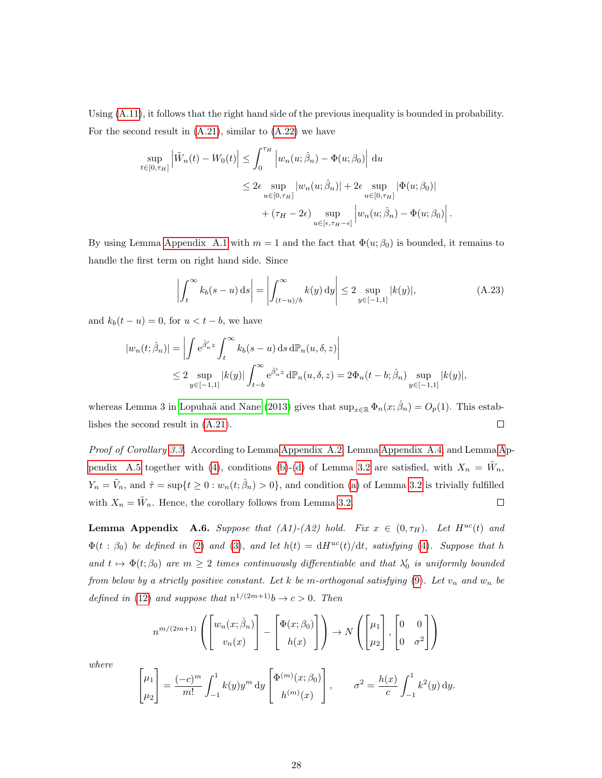Using [\(A.11\)](#page-23-2), it follows that the right hand side of the previous inequality is bounded in probability. For the second result in  $(A.21)$ , similar to  $(A.22)$  we have

$$
\sup_{t \in [0,\tau_H]} \left| \tilde{W}_n(t) - W_0(t) \right| \le \int_0^{\tau_H} \left| w_n(u; \hat{\beta}_n) - \Phi(u; \beta_0) \right| du
$$
  

$$
\le 2\epsilon \sup_{u \in [0,\tau_H]} |w_n(u; \hat{\beta}_n)| + 2\epsilon \sup_{u \in [0,\tau_H]} |\Phi(u; \beta_0)|
$$
  

$$
+ (\tau_H - 2\epsilon) \sup_{u \in [\epsilon, \tau_H - \epsilon]} \left| w_n(u; \hat{\beta}_n) - \Phi(u; \beta_0) \right|.
$$

By using Lemma [Appendix A.1](#page-22-0) with  $m = 1$  and the fact that  $\Phi(u; \beta_0)$  is bounded, it remains to handle the first term on right hand side. Since

<span id="page-27-1"></span>
$$
\left| \int_{t}^{\infty} k_{b}(s-u) \, \mathrm{d}s \right| = \left| \int_{(t-u)/b}^{\infty} k(y) \, \mathrm{d}y \right| \leq 2 \sup_{y \in [-1,1]} |k(y)|, \tag{A.23}
$$

and  $k_b(t - u) = 0$ , for  $u < t - b$ , we have

$$
|w_n(t; \hat{\beta}_n)| = \left| \int e^{\hat{\beta}'_n z} \int_t^{\infty} k_b(s - u) \, ds \, d\mathbb{P}_n(u, \delta, z) \right|
$$
  

$$
\leq 2 \sup_{y \in [-1, 1]} |k(y)| \int_{t - b}^{\infty} e^{\hat{\beta}'_n z} d\mathbb{P}_n(u, \delta, z) = 2\Phi_n(t - b; \hat{\beta}_n) \sup_{y \in [-1, 1]} |k(y)|,
$$

whereas Lemma 3 in Lopuhaä and Nane [\(2013\)](#page-37-1) gives that  $\sup_{x\in\mathbb{R}} \Phi_n(x;\hat{\beta}_n) = O_p(1)$ . This estab- $\Box$ lishes the second result in [\(A.21\)](#page-26-1).

Proof of Corollary [3.3.](#page-9-0) According to Lemma [Appendix A.2,](#page-23-0) Lemma [Appendix A.4,](#page-25-0) and Lemma [A](#page-26-0)p[pendix A.5](#page-26-0) together with [\(4\)](#page-4-1), conditions [\(b\)](#page-8-1)-[\(d\)](#page-8-3) of Lemma [3.2](#page-7-1) are satisfied, with  $X_n = \tilde{W}_n$ ,  $Y_n = \tilde{V}_n$ , and  $\hat{\tau} = \sup\{t \geq 0 : w_n(t; \hat{\beta}_n) > 0\}$ , and condition [\(a\)](#page-7-2) of Lemma [3.2](#page-7-1) is trivially fulfilled with  $X_n = \tilde{W}_n$ . Hence, the corollary follows from Lemma [3.2.](#page-7-1)  $\Box$ 

<span id="page-27-0"></span>**Lemma Appendix A.6.** Suppose that  $(A1)-(A2)$  hold. Fix  $x \in (0, \tau_H)$ . Let  $H^{uc}(t)$  and  $\Phi(t : \beta_0)$  be defined in [\(2\)](#page-3-1) and [\(3\)](#page-4-0), and let  $h(t) = dH^{uc}(t)/dt$ , satisfying [\(4\)](#page-4-1). Suppose that h and  $t \mapsto \Phi(t; \beta_0)$  are  $m \geq 2$  times continuously differentiable and that  $\lambda'_0$  is uniformly bounded from below by a strictly positive constant. Let k be m-orthogonal satisfying  $(9)$ . Let  $v_n$  and  $w_n$  be defined in [\(12\)](#page-5-2) and suppose that  $n^{1/(2m+1)}b \rightarrow c > 0$ . Then

$$
n^{m/(2m+1)}\left(\begin{bmatrix} w_n(x;\hat{\beta}_n) \\ v_n(x) \end{bmatrix} - \begin{bmatrix} \Phi(x;\beta_0) \\ h(x) \end{bmatrix} \right) \rightarrow N\left(\begin{bmatrix} \mu_1 \\ \mu_2 \end{bmatrix}, \begin{bmatrix} 0 & 0 \\ 0 & \sigma^2 \end{bmatrix}\right)
$$

where

$$
\begin{bmatrix} \mu_1 \\ \mu_2 \end{bmatrix} = \frac{(-c)^m}{m!} \int_{-1}^1 k(y) y^m \, dy \begin{bmatrix} \Phi^{(m)}(x; \beta_0) \\ h^{(m)}(x) \end{bmatrix}, \qquad \sigma^2 = \frac{h(x)}{c} \int_{-1}^1 k^2(y) \, dy.
$$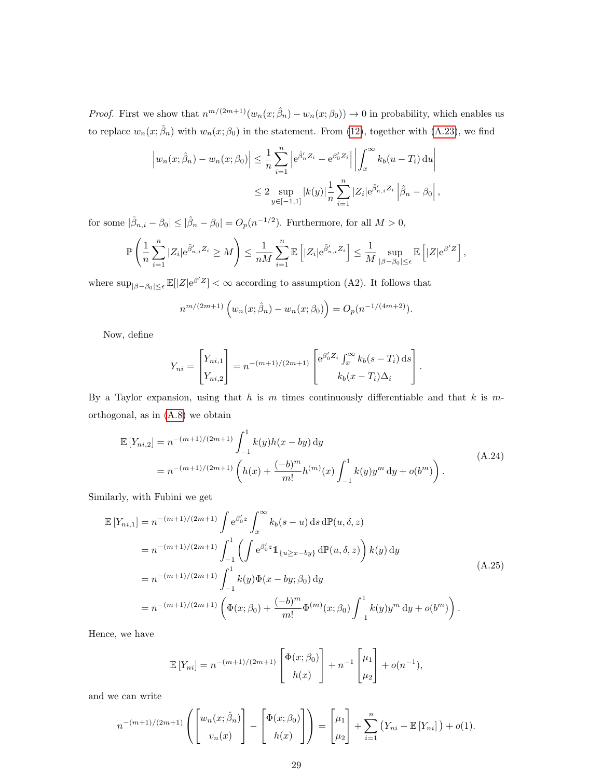*Proof.* First we show that  $n^{m/(2m+1)}(w_n(x; \hat{\beta}_n) - w_n(x; \beta_0)) \to 0$  in probability, which enables us to replace  $w_n(x; \hat{\beta}_n)$  with  $w_n(x; \beta_0)$  in the statement. From [\(12\)](#page-5-2), together with [\(A.23\)](#page-27-1), we find

$$
\left| w_n(x; \hat{\beta}_n) - w_n(x; \beta_0) \right| \leq \frac{1}{n} \sum_{i=1}^n \left| e^{\hat{\beta}'_n Z_i} - e^{\beta'_0 Z_i} \right| \left| \int_x^{\infty} k_b(u - T_i) \, du \right|
$$
  

$$
\leq 2 \sup_{y \in [-1, 1]} |k(y)| \frac{1}{n} \sum_{i=1}^n |Z_i| e^{\hat{\beta}'_{n,i} Z_i} \left| \hat{\beta}_n - \beta_0 \right|,
$$

for some  $|\tilde{\beta}_{n,i} - \beta_0| \leq |\hat{\beta}_n - \beta_0| = O_p(n^{-1/2})$ . Furthermore, for all  $M > 0$ ,

$$
\mathbb{P}\left(\frac{1}{n}\sum_{i=1}^n |Z_i|e^{\tilde{\beta}'_{n,i}Z_i} \geq M\right) \leq \frac{1}{nM}\sum_{i=1}^n \mathbb{E}\left[|Z_i|e^{\tilde{\beta}'_{n,i}Z_i}\right] \leq \frac{1}{M}\sup_{|\beta-\beta_0|\leq\epsilon} \mathbb{E}\left[|Z|e^{\beta'Z}\right],
$$

where  $\sup_{|\beta-\beta_0|\leq \epsilon} \mathbb{E}[|Z|e^{\beta'Z}] < \infty$  according to assumption (A2). It follows that

$$
n^{m/(2m+1)}\left(w_n(x;\hat{\beta}_n)-w_n(x;\beta_0)\right)=O_p(n^{-1/(4m+2)}).
$$

Now, define

<span id="page-28-1"></span>
$$
Y_{ni} = \begin{bmatrix} Y_{ni,1} \\ Y_{ni,2} \end{bmatrix} = n^{-(m+1)/(2m+1)} \begin{bmatrix} e^{\beta'_0 Z_i} \int_x^{\infty} k_b(s - T_i) \, ds \\ k_b(x - T_i) \Delta_i \end{bmatrix}.
$$

By a Taylor expansion, using that  $h$  is  $m$  times continuously differentiable and that  $k$  is  $m$ orthogonal, as in [\(A.8\)](#page-22-3) we obtain

<span id="page-28-0"></span>
$$
\mathbb{E}\left[Y_{ni,2}\right] = n^{-(m+1)/(2m+1)} \int_{-1}^{1} k(y)h(x - by) dy
$$
\n
$$
= n^{-(m+1)/(2m+1)} \left(h(x) + \frac{(-b)^m}{m!} h^{(m)}(x) \int_{-1}^{1} k(y) y^m dy + o(b^m)\right).
$$
\n(A.24)

Similarly, with Fubini we get

$$
\mathbb{E}\left[Y_{ni,1}\right] = n^{-(m+1)/(2m+1)} \int e^{\beta'_0 z} \int_x^{\infty} k_b(s-u) \, ds \, d\mathbb{P}(u,\delta,z)
$$
  
\n
$$
= n^{-(m+1)/(2m+1)} \int_{-1}^1 \left( \int e^{\beta'_0 z} \mathbb{1}_{\{u \ge x - by\}} \, d\mathbb{P}(u,\delta,z) \right) k(y) \, dy
$$
  
\n
$$
= n^{-(m+1)/(2m+1)} \int_{-1}^1 k(y) \Phi(x - by; \beta_0) \, dy
$$
  
\n
$$
= n^{-(m+1)/(2m+1)} \left( \Phi(x; \beta_0) + \frac{(-b)^m}{m!} \Phi^{(m)}(x; \beta_0) \int_{-1}^1 k(y) y^m \, dy + o(b^m) \right).
$$
\n(A.25)

Hence, we have

$$
\mathbb{E}[Y_{ni}] = n^{-(m+1)/(2m+1)} \begin{bmatrix} \Phi(x; \beta_0) \\ h(x) \end{bmatrix} + n^{-1} \begin{bmatrix} \mu_1 \\ \mu_2 \end{bmatrix} + o(n^{-1}),
$$

and we can write

$$
n^{-(m+1)/(2m+1)}\left(\begin{bmatrix}w_n(x;\hat{\beta}_n)\\v_n(x)\end{bmatrix}-\begin{bmatrix}\Phi(x;\beta_0)\\h(x)\end{bmatrix}\right)=\begin{bmatrix}\mu_1\\ \mu_2\end{bmatrix}+\sum_{i=1}^n\left(Y_{ni}-\mathbb{E}\left[Y_{ni}\right]\right)+o(1).
$$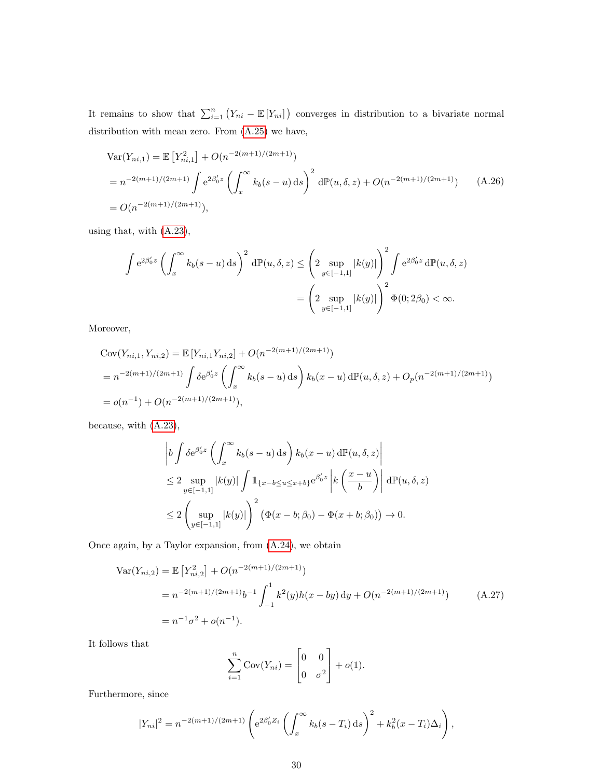It remains to show that  $\sum_{i=1}^{n} (Y_{ni} - \mathbb{E}[Y_{ni}])$  converges in distribution to a bivariate normal distribution with mean zero. From [\(A.25\)](#page-28-0) we have,

<span id="page-29-0"></span>
$$
\begin{aligned} \text{Var}(Y_{ni,1}) &= \mathbb{E}\left[Y_{ni,1}^2\right] + O(n^{-2(m+1)/(2m+1)})\\ &= n^{-2(m+1)/(2m+1)} \int e^{2\beta_0' z} \left(\int_x^\infty k_b(s-u) \, \mathrm{d}s\right)^2 \, \mathrm{d}\mathbb{P}(u,\delta,z) + O(n^{-2(m+1)/(2m+1)}) \qquad (A.26)\\ &= O(n^{-2(m+1)/(2m+1)}), \end{aligned}
$$

using that, with [\(A.23\)](#page-27-1),

$$
\int e^{2\beta'_0 z} \left( \int_x^\infty k_b(s-u) \, ds \right)^2 d\mathbb{P}(u, \delta, z) \le \left( 2 \sup_{y \in [-1,1]} |k(y)| \right)^2 \int e^{2\beta'_0 z} d\mathbb{P}(u, \delta, z)
$$

$$
= \left( 2 \sup_{y \in [-1,1]} |k(y)| \right)^2 \Phi(0; 2\beta_0) < \infty.
$$

Moreover,

$$
Cov(Y_{ni,1}, Y_{ni,2}) = \mathbb{E}\left[Y_{ni,1}Y_{ni,2}\right] + O(n^{-2(m+1)/(2m+1)})
$$
  
=  $n^{-2(m+1)/(2m+1)} \int \delta e^{\beta'_0 z} \left(\int_x^\infty k_b(s-u) \, ds\right) k_b(x-u) \, d\mathbb{P}(u, \delta, z) + O_p(n^{-2(m+1)/(2m+1)})$   
=  $o(n^{-1}) + O(n^{-2(m+1)/(2m+1)}),$ 

because, with [\(A.23\)](#page-27-1),

$$
\begin{split} & \left| b \int \delta e^{\beta_0' z} \left( \int_x^\infty k_b(s-u) \, \mathrm{d}s \right) k_b(x-u) \, \mathrm{d}\mathbb{P}(u,\delta,z) \right| \\ &\le 2 \sup_{y \in [-1,1]} |k(y)| \int \mathbb{1}_{\{x-b \le u \le x+b\}} e^{\beta_0' z} \left| k \left( \frac{x-u}{b} \right) \right| \, \mathrm{d}\mathbb{P}(u,\delta,z) \\ &\le 2 \left( \sup_{y \in [-1,1]} |k(y)| \right)^2 \left( \Phi(x-b;\beta_0) - \Phi(x+b;\beta_0) \right) \to 0. \end{split}
$$

Once again, by a Taylor expansion, from [\(A.24\)](#page-28-1), we obtain

$$
\begin{split} \text{Var}(Y_{ni,2}) &= \mathbb{E}\left[Y_{ni,2}^2\right] + O(n^{-2(m+1)/(2m+1)}) \\ &= n^{-2(m+1)/(2m+1)}b^{-1}\int_{-1}^1 k^2(y)h(x - by) \, \mathrm{d}y + O(n^{-2(m+1)/(2m+1)}) \\ &= n^{-1}\sigma^2 + o(n^{-1}). \end{split} \tag{A.27}
$$

It follows that

<span id="page-29-1"></span>
$$
\sum_{i=1}^{n} \text{Cov}(Y_{ni}) = \begin{bmatrix} 0 & 0 \\ 0 & \sigma^2 \end{bmatrix} + o(1).
$$

Furthermore, since

$$
|Y_{ni}|^2 = n^{-2(m+1)/(2m+1)} \left( e^{2\beta_0' Z_i} \left( \int_x^\infty k_b(s - T_i) \, ds \right)^2 + k_b^2 (x - T_i) \Delta_i \right),
$$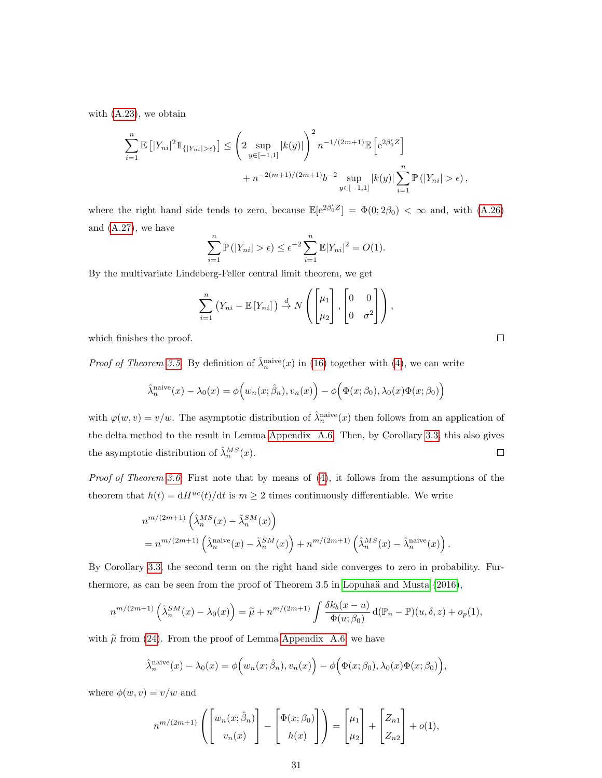with [\(A.23\)](#page-27-1), we obtain

$$
\sum_{i=1}^{n} \mathbb{E} \left[ |Y_{ni}|^2 \mathbb{1}_{\{|Y_{ni}| > \epsilon\}} \right] \leq \left( 2 \sup_{y \in [-1,1]} |k(y)| \right)^2 n^{-1/(2m+1)} \mathbb{E} \left[ e^{2\beta'_0 Z} \right] + n^{-2(m+1)/(2m+1)} b^{-2} \sup_{y \in [-1,1]} |k(y)| \sum_{i=1}^{n} \mathbb{P} \left( |Y_{ni}| > \epsilon \right),
$$

where the right hand side tends to zero, because  $\mathbb{E}[e^{2\beta_0'Z}] = \Phi(0; 2\beta_0) < \infty$  and, with  $(A.26)$ and [\(A.27\)](#page-29-1), we have

$$
\sum_{i=1}^{n} \mathbb{P}(|Y_{ni}| > \epsilon) \le \epsilon^{-2} \sum_{i=1}^{n} \mathbb{E}|Y_{ni}|^{2} = O(1).
$$

By the multivariate Lindeberg-Feller central limit theorem, we get

$$
\sum_{i=1}^{n} (Y_{ni} - \mathbb{E}[Y_{ni}]) \stackrel{d}{\rightarrow} N\left(\begin{bmatrix} \mu_1 \\ \mu_2 \end{bmatrix}, \begin{bmatrix} 0 & 0 \\ 0 & \sigma^2 \end{bmatrix}\right),
$$

which finishes the proof.

*Proof of Theorem [3.5.](#page-10-0)* By definition of  $\hat{\lambda}_n^{\text{naive}}(x)$  in [\(16\)](#page-6-0) together with [\(4\)](#page-4-1), we can write

$$
\hat{\lambda}_n^{\text{naive}}(x) - \lambda_0(x) = \phi\Big(w_n(x; \hat{\beta}_n), v_n(x)\Big) - \phi\Big(\Phi(x; \beta_0), \lambda_0(x)\Phi(x; \beta_0)\Big)
$$

with  $\varphi(w, v) = v/w$ . The asymptotic distribution of  $\hat{\lambda}_n^{\text{naive}}(x)$  then follows from an application of the delta method to the result in Lemma [Appendix A.6.](#page-27-0) Then, by Corollary [3.3,](#page-9-0) this also gives the asymptotic distribution of  $\hat{\lambda}_n^{MS}(x)$ .  $\hfill \square$ 

Proof of Theorem [3.6.](#page-10-4) First note that by means of  $(4)$ , it follows from the assumptions of the theorem that  $h(t) = dH^{uc}(t)/dt$  is  $m \geq 2$  times continuously differentiable. We write

$$
n^{m/(2m+1)} \left(\hat{\lambda}_n^{MS}(x) - \tilde{\lambda}_n^{SM}(x)\right)
$$
  
= 
$$
n^{m/(2m+1)} \left(\hat{\lambda}_n^{\text{naive}}(x) - \tilde{\lambda}_n^{SM}(x)\right) + n^{m/(2m+1)} \left(\hat{\lambda}_n^{MS}(x) - \hat{\lambda}_n^{\text{naive}}(x)\right).
$$

By Corollary [3.3,](#page-9-0) the second term on the right hand side converges to zero in probability. Furthermore, as can be seen from the proof of Theorem  $3.5$  in Lopuhaä and Musta  $(2016)$ ,

$$
n^{m/(2m+1)}\left(\tilde{\lambda}_n^{SM}(x) - \lambda_0(x)\right) = \tilde{\mu} + n^{m/(2m+1)}\int \frac{\delta k_b(x-u)}{\Phi(u;\beta_0)} d(\mathbb{P}_n - \mathbb{P})(u,\delta,z) + o_p(1),
$$

with  $\tilde{\mu}$  from [\(24\)](#page-10-2). From the proof of Lemma [Appendix A.6,](#page-27-0) we have

$$
\hat{\lambda}_n^{\text{naive}}(x) - \lambda_0(x) = \phi\Big(w_n(x; \hat{\beta}_n), v_n(x)\Big) - \phi\Big(\Phi(x; \beta_0), \lambda_0(x)\Phi(x; \beta_0)\Big),
$$

where  $\phi(w, v) = v/w$  and

$$
n^{m/(2m+1)}\left(\begin{bmatrix}w_n(x;\hat{\beta}_n)\\v_n(x)\end{bmatrix}-\begin{bmatrix}\Phi(x;\beta_0)\\h(x)\end{bmatrix}\right)=\begin{bmatrix}\mu_1\\ \mu_2\end{bmatrix}+\begin{bmatrix}Z_{n1}\\Z_{n2}\end{bmatrix}+o(1),
$$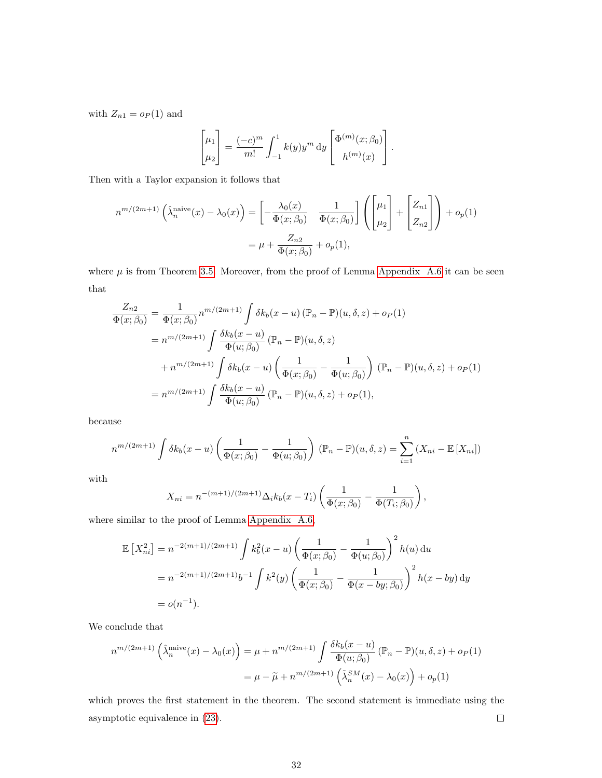with  $Z_{n1} = o_P(1)$  and

$$
\begin{bmatrix} \mu_1 \\ \mu_2 \end{bmatrix} = \frac{(-c)^m}{m!} \int_{-1}^1 k(y) y^m \, dy \begin{bmatrix} \Phi^{(m)}(x; \beta_0) \\ h^{(m)}(x) \end{bmatrix}.
$$

Then with a Taylor expansion it follows that

$$
n^{m/(2m+1)}\left(\hat{\lambda}_n^{\text{naive}}(x) - \lambda_0(x)\right) = \left[-\frac{\lambda_0(x)}{\Phi(x;\beta_0)} \frac{1}{\Phi(x;\beta_0)}\right] \left(\begin{bmatrix} \mu_1 \\ \mu_2 \end{bmatrix} + \begin{bmatrix} Z_{n1} \\ Z_{n2} \end{bmatrix}\right) + o_p(1)
$$

$$
= \mu + \frac{Z_{n2}}{\Phi(x;\beta_0)} + o_p(1),
$$

where  $\mu$  is from Theorem [3.5.](#page-10-0) Moreover, from the proof of Lemma [Appendix A.6](#page-27-0) it can be seen that

$$
\frac{Z_{n2}}{\Phi(x;\beta_0)} = \frac{1}{\Phi(x;\beta_0)} n^{m/(2m+1)} \int \delta k_b(x-u) (\mathbb{P}_n - \mathbb{P})(u,\delta,z) + o_P(1)
$$
  
\n
$$
= n^{m/(2m+1)} \int \frac{\delta k_b(x-u)}{\Phi(u;\beta_0)} (\mathbb{P}_n - \mathbb{P})(u,\delta,z)
$$
  
\n
$$
+ n^{m/(2m+1)} \int \delta k_b(x-u) \left(\frac{1}{\Phi(x;\beta_0)} - \frac{1}{\Phi(u;\beta_0)}\right) (\mathbb{P}_n - \mathbb{P})(u,\delta,z) + o_P(1)
$$
  
\n
$$
= n^{m/(2m+1)} \int \frac{\delta k_b(x-u)}{\Phi(u;\beta_0)} (\mathbb{P}_n - \mathbb{P})(u,\delta,z) + o_P(1),
$$

because

$$
n^{m/(2m+1)}\int \delta k_b(x-u)\left(\frac{1}{\Phi(x;\beta_0)}-\frac{1}{\Phi(u;\beta_0)}\right)(\mathbb{P}_n-\mathbb{P})(u,\delta,z)=\sum_{i=1}^n\left(X_{ni}-\mathbb{E}\left[X_{ni}\right]\right)
$$

with

$$
X_{ni} = n^{-(m+1)/(2m+1)} \Delta_i k_b(x - T_i) \left( \frac{1}{\Phi(x; \beta_0)} - \frac{1}{\Phi(T_i; \beta_0)} \right),
$$

where similar to the proof of Lemma [Appendix A.6,](#page-27-0)

$$
\mathbb{E}\left[X_{ni}^2\right] = n^{-2(m+1)/(2m+1)} \int k_b^2(x-u) \left(\frac{1}{\Phi(x;\beta_0)} - \frac{1}{\Phi(u;\beta_0)}\right)^2 h(u) du
$$
  
=  $n^{-2(m+1)/(2m+1)} b^{-1} \int k^2(y) \left(\frac{1}{\Phi(x;\beta_0)} - \frac{1}{\Phi(x-by;\beta_0)}\right)^2 h(x-by) dy$   
=  $o(n^{-1}).$ 

We conclude that

$$
n^{m/(2m+1)}\left(\hat{\lambda}_n^{\text{naive}}(x) - \lambda_0(x)\right) = \mu + n^{m/(2m+1)} \int \frac{\delta k_b(x - u)}{\Phi(u; \beta_0)} (\mathbb{P}_n - \mathbb{P})(u, \delta, z) + o_P(1)
$$

$$
= \mu - \widetilde{\mu} + n^{m/(2m+1)}\left(\tilde{\lambda}_n^{SM}(x) - \lambda_0(x)\right) + o_P(1)
$$

which proves the first statement in the theorem. The second statement is immediate using the asymptotic equivalence in [\(23\)](#page-10-3).  $\Box$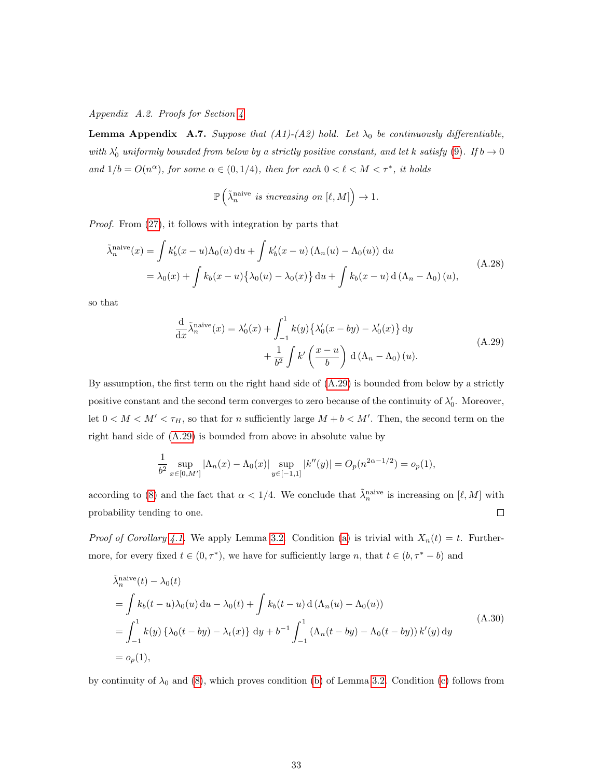<span id="page-32-2"></span>Appendix A.2. Proofs for Section [4](#page-11-0)

<span id="page-32-1"></span>**Lemma Appendix A.7.** Suppose that (A1)-(A2) hold. Let  $\lambda_0$  be continuously differentiable, with  $\lambda'_0$  uniformly bounded from below by a strictly positive constant, and let k satisfy [\(9\)](#page-4-2). If  $b \to 0$ and  $1/b = O(n^{\alpha})$ , for some  $\alpha \in (0, 1/4)$ , then for each  $0 < l < M < \tau^*$ , it holds

<span id="page-32-4"></span>
$$
\mathbb{P}\left(\tilde{\lambda}_n^{\text{naive}} \text{ is increasing on } [\ell, M]\right) \to 1.
$$

Proof. From [\(27\)](#page-12-2), it follows with integration by parts that

$$
\tilde{\lambda}_n^{\text{naive}}(x) = \int k_b'(x - u)\Lambda_0(u) du + \int k_b'(x - u)(\Lambda_n(u) - \Lambda_0(u)) du
$$
\n
$$
= \lambda_0(x) + \int k_b(x - u)\{\lambda_0(u) - \lambda_0(x)\} du + \int k_b(x - u) d(\Lambda_n - \Lambda_0)(u),
$$
\n(A.28)

<span id="page-32-3"></span>so that

$$
\frac{d}{dx}\tilde{\lambda}_n^{\text{naive}}(x) = \lambda_0'(x) + \int_{-1}^1 k(y) \{ \lambda_0'(x - by) - \lambda_0'(x) \} dy
$$

$$
+ \frac{1}{b^2} \int k' \left( \frac{x - u}{b} \right) d(\Lambda_n - \Lambda_0)(u).
$$
 (A.29)

By assumption, the first term on the right hand side of [\(A.29\)](#page-32-3) is bounded from below by a strictly positive constant and the second term converges to zero because of the continuity of  $\lambda'_0$ . Moreover, let  $0 < M < M' < \tau_H$ , so that for *n* sufficiently large  $M + b < M'$ . Then, the second term on the right hand side of [\(A.29\)](#page-32-3) is bounded from above in absolute value by

<span id="page-32-0"></span>
$$
\frac{1}{b^2} \sup_{x \in [0,M']} |\Lambda_n(x) - \Lambda_0(x)| \sup_{y \in [-1,1]} |k''(y)| = O_p(n^{2\alpha - 1/2}) = o_p(1),
$$

according to [\(8\)](#page-4-4) and the fact that  $\alpha < 1/4$ . We conclude that  $\tilde{\lambda}_n^{\text{naive}}$  is increasing on  $[\ell, M]$  with probability tending to one.  $\Box$ 

*Proof of Corollary [4.1.](#page-13-1)* We apply Lemma [3.2.](#page-7-1) Condition [\(a\)](#page-7-2) is trivial with  $X_n(t) = t$ . Furthermore, for every fixed  $t \in (0, \tau^*)$ , we have for sufficiently large n, that  $t \in (b, \tau^* - b)$  and

$$
\tilde{\lambda}_n^{\text{naive}}(t) - \lambda_0(t)
$$
\n
$$
= \int k_b(t - u)\lambda_0(u) du - \lambda_0(t) + \int k_b(t - u) d(\Lambda_n(u) - \Lambda_0(u))
$$
\n
$$
= \int_{-1}^1 k(y) {\{\lambda_0(t - by) - \lambda_t(x)\} dy} + b^{-1} \int_{-1}^1 (\Lambda_n(t - by) - \Lambda_0(t - by)) k'(y) dy
$$
\n
$$
= o_p(1),
$$
\n(A.30)

by continuity of  $\lambda_0$  and [\(8\)](#page-4-4), which proves condition [\(b\)](#page-8-1) of Lemma [3.2.](#page-7-1) Condition [\(c\)](#page-8-2) follows from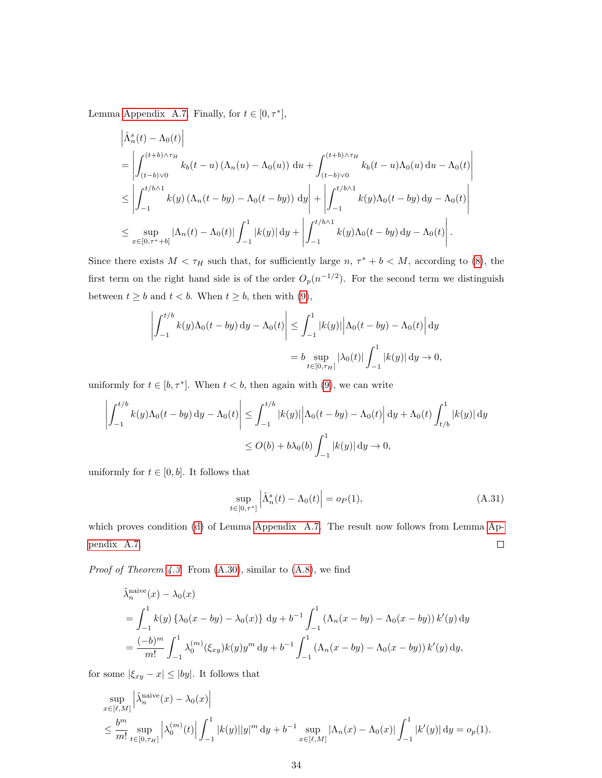Lemma [Appendix A.7.](#page-32-1) Finally, for  $t \in [0, \tau^*]$ ,

$$
\begin{split}\n&\left|\hat{\Lambda}_{n}^{s}(t) - \Lambda_{0}(t)\right| \\
&= \left|\int_{(t-b)\vee 0}^{(t+b)\wedge \tau_{H}} k_{b}(t-u) \left(\Lambda_{n}(u) - \Lambda_{0}(u)\right) \, \mathrm{d}u + \int_{(t-b)\vee 0}^{(t+b)\wedge \tau_{H}} k_{b}(t-u)\Lambda_{0}(u) \, \mathrm{d}u - \Lambda_{0}(t)\right| \\
&\leq \left|\int_{-1}^{t/b\wedge 1} k(y) \left(\Lambda_{n}(t-by) - \Lambda_{0}(t-by)\right) \, \mathrm{d}y\right| + \left|\int_{-1}^{t/b\wedge 1} k(y)\Lambda_{0}(t-by) \, \mathrm{d}y - \Lambda_{0}(t)\right| \\
&\leq \sup_{x\in[0,\tau^{*}+b]} |\Lambda_{n}(t) - \Lambda_{0}(t)| \int_{-1}^{1} |k(y)| \, \mathrm{d}y + \left|\int_{-1}^{t/b\wedge 1} k(y)\Lambda_{0}(t-by) \, \mathrm{d}y - \Lambda_{0}(t)\right|.\n\end{split}
$$

Since there exists  $M < \tau_H$  such that, for sufficiently large  $n, \tau^* + b < M$ , according to [\(8\)](#page-4-4), the first term on the right hand side is of the order  $O_p(n^{-1/2})$ . For the second term we distinguish between  $t \geq b$  and  $t < b$ . When  $t \geq b$ , then with [\(9\)](#page-4-2),

$$
\left| \int_{-1}^{t/b} k(y) \Lambda_0(t - by) dy - \Lambda_0(t) \right| \leq \int_{-1}^1 |k(y)| \left| \Lambda_0(t - by) - \Lambda_0(t) \right| dy
$$
  
=  $b \sup_{t \in [0, \tau_H]} |\lambda_0(t)| \int_{-1}^1 |k(y)| dy \to 0,$ 

uniformly for  $t \in [b, \tau^*]$ . When  $t < b$ , then again with [\(9\)](#page-4-2), we can write

$$
\left| \int_{-1}^{t/b} k(y) \Lambda_0(t - by) dy - \Lambda_0(t) \right| \leq \int_{-1}^{t/b} |k(y)| \left| \Lambda_0(t - by) - \Lambda_0(t) \right| dy + \Lambda_0(t) \int_{t/b}^1 |k(y)| dy
$$
  

$$
\leq O(b) + b\lambda_0(b) \int_{-1}^1 |k(y)| dy \to 0,
$$

uniformly for  $t \in [0, b]$ . It follows that

<span id="page-33-0"></span>
$$
\sup_{t \in [0,\tau^*]} \left| \hat{\Lambda}_n^s(t) - \Lambda_0(t) \right| = o_P(1),\tag{A.31}
$$

which proves condition [\(d\)](#page-8-3) of Lemma [Appendix A.7.](#page-32-1) The result now follows from Lemma [Ap](#page-32-1)[pendix A.7.](#page-32-1)  $\Box$ 

*Proof of Theorem [4.3.](#page-13-0)* From  $(A.30)$ , similar to  $(A.8)$ , we find

$$
\tilde{\lambda}_n^{\text{naive}}(x) - \lambda_0(x)
$$
\n
$$
= \int_{-1}^1 k(y) \left\{ \lambda_0(x - by) - \lambda_0(x) \right\} dy + b^{-1} \int_{-1}^1 (\Lambda_n(x - by) - \Lambda_0(x - by)) k'(y) dy
$$
\n
$$
= \frac{(-b)^m}{m!} \int_{-1}^1 \lambda_0^{(m)}(\xi_{xy}) k(y) y^m dy + b^{-1} \int_{-1}^1 (\Lambda_n(x - by) - \Lambda_0(x - by)) k'(y) dy,
$$

for some  $|\xi_{xy} - x| \le |by|$ . It follows that

$$
\sup_{x \in [\ell,M]} \left| \tilde{\lambda}^{\text{naive}}_n(x) - \lambda_0(x) \right|
$$
\n
$$
\leq \frac{b^m}{m!} \sup_{t \in [0,\tau_H]} \left| \lambda_0^{(m)}(t) \right| \int_{-1}^1 |k(y)| |y|^m \, dy + b^{-1} \sup_{x \in [\ell,M]} |\Lambda_n(x) - \Lambda_0(x)| \int_{-1}^1 |k'(y)| \, dy = o_p(1).
$$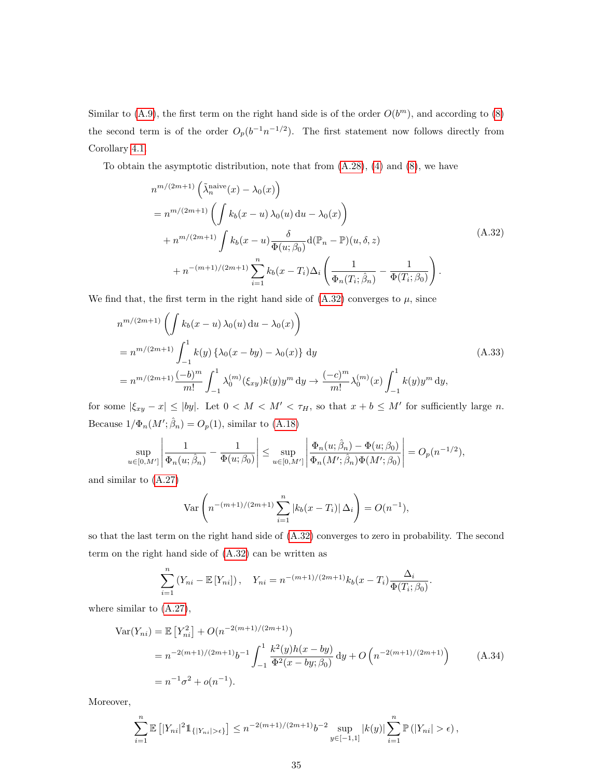Similar to [\(A.9\)](#page-22-2), the first term on the right hand side is of the order  $O(b^m)$ , and according to [\(8\)](#page-4-4) the second term is of the order  $O_p(b^{-1}n^{-1/2})$ . The first statement now follows directly from Corollary [4.1.](#page-13-1)

To obtain the asymptotic distribution, note that from [\(A.28\)](#page-32-4), [\(4\)](#page-4-1) and [\(8\)](#page-4-4), we have

<span id="page-34-2"></span>
$$
n^{m/(2m+1)} \left(\tilde{\lambda}_n^{\text{naive}}(x) - \lambda_0(x)\right)
$$
  
= 
$$
n^{m/(2m+1)} \left(\int k_b(x-u) \lambda_0(u) du - \lambda_0(x)\right)
$$
  
+ 
$$
n^{m/(2m+1)} \int k_b(x-u) \frac{\delta}{\Phi(u;\beta_0)} d(\mathbb{P}_n - \mathbb{P})(u,\delta,z)
$$
  
+ 
$$
n^{-(m+1)/(2m+1)} \sum_{i=1}^n k_b(x-T_i) \Delta_i \left(\frac{1}{\Phi_n(T_i;\hat{\beta}_n)} - \frac{1}{\Phi(T_i;\beta_0)}\right).
$$
(A.32)

We find that, the first term in the right hand side of  $(A.32)$  converges to  $\mu$ , since

$$
n^{m/(2m+1)} \left( \int k_b(x - u) \,\lambda_0(u) \, \mathrm{d}u - \lambda_0(x) \right)
$$
  
=  $n^{m/(2m+1)} \int_{-1}^1 k(y) \left\{ \lambda_0(x - by) - \lambda_0(x) \right\} \, \mathrm{d}y$   
=  $n^{m/(2m+1)} \frac{(-b)^m}{m!} \int_{-1}^1 \lambda_0^{(m)}(\xi_{xy}) k(y) y^m \, \mathrm{d}y \to \frac{(-c)^m}{m!} \lambda_0^{(m)}(x) \int_{-1}^1 k(y) y^m \, \mathrm{d}y,$  (A.33)

for some  $|\xi_{xy} - x| \le |by|$ . Let  $0 < M < M' < \tau_H$ , so that  $x + b \le M'$  for sufficiently large n. Because  $1/\Phi_n(M';\hat{\beta}_n) = O_p(1)$ , similar to [\(A.18\)](#page-25-2)

$$
\sup_{u\in[0,M']} \left| \frac{1}{\Phi_n(u;\hat{\beta}_n)} - \frac{1}{\Phi(u;\beta_0)} \right| \leq \sup_{u\in[0,M']} \left| \frac{\Phi_n(u;\hat{\beta}_n) - \Phi(u;\beta_0)}{\Phi_n(M';\hat{\beta}_n)\Phi(M';\beta_0)} \right| = O_p(n^{-1/2}),
$$

and similar to [\(A.27\)](#page-29-1)

$$
\text{Var}\left(n^{-(m+1)/(2m+1)}\sum_{i=1}^{n}|k_b(x-T_i)|\Delta_i\right)=O(n^{-1}),
$$

so that the last term on the right hand side of [\(A.32\)](#page-34-2) converges to zero in probability. The second term on the right hand side of [\(A.32\)](#page-34-2) can be written as

<span id="page-34-1"></span>
$$
\sum_{i=1}^{n} (Y_{ni} - \mathbb{E}[Y_{ni}]), \quad Y_{ni} = n^{-(m+1)/(2m+1)} k_b(x - T_i) \frac{\Delta_i}{\Phi(T_i; \beta_0)}
$$

where similar to [\(A.27\)](#page-29-1),

$$
\begin{split} \text{Var}(Y_{ni}) &= \mathbb{E}\left[Y_{ni}^2\right] + O(n^{-2(m+1)/(2m+1)}) \\ &= n^{-2(m+1)/(2m+1)}b^{-1}\int_{-1}^1 \frac{k^2(y)h(x - by)}{\Phi^2(x - by;\beta_0)}\,\mathrm{d}y + O\left(n^{-2(m+1)/(2m+1)}\right) \\ &= n^{-1}\sigma^2 + o(n^{-1}). \end{split} \tag{A.34}
$$

<span id="page-34-0"></span>.

Moreover,

$$
\sum_{i=1}^n \mathbb{E} \left[ |Y_{ni}|^2 \mathbb{1}_{\{|Y_{ni}| > \epsilon\}} \right] \le n^{-2(m+1)/(2m+1)} b^{-2} \sup_{y \in [-1,1]} |k(y)| \sum_{i=1}^n \mathbb{P} \left( |Y_{ni}| > \epsilon \right),
$$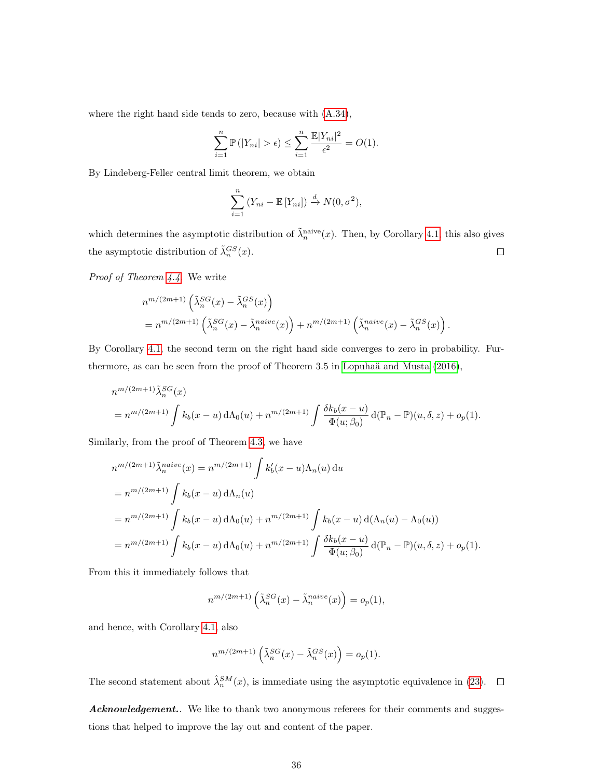where the right hand side tends to zero, because with [\(A.34\)](#page-34-1),

$$
\sum_{i=1}^{n} \mathbb{P}(|Y_{ni}| > \epsilon) \leq \sum_{i=1}^{n} \frac{\mathbb{E}|Y_{ni}|^2}{\epsilon^2} = O(1).
$$

By Lindeberg-Feller central limit theorem, we obtain

$$
\sum_{i=1}^{n} (Y_{ni} - \mathbb{E}[Y_{ni}]) \stackrel{d}{\to} N(0, \sigma^2),
$$

which determines the asymptotic distribution of  $\tilde{\lambda}_n^{\text{naive}}(x)$ . Then, by Corollary [4.1,](#page-13-1) this also gives the asymptotic distribution of  $\tilde{\lambda}_n^{GS}(x)$ .  $\Box$ 

Proof of Theorem [4.4.](#page-14-0) We write

$$
n^{m/(2m+1)} \left(\tilde{\lambda}_n^{SG}(x) - \tilde{\lambda}_n^{GS}(x)\right)
$$
  
=  $n^{m/(2m+1)} \left(\tilde{\lambda}_n^{SG}(x) - \tilde{\lambda}_n^{naive}(x)\right) + n^{m/(2m+1)} \left(\tilde{\lambda}_n^{naive}(x) - \tilde{\lambda}_n^{GS}(x)\right)$ 

.

By Corollary [4.1,](#page-13-1) the second term on the right hand side converges to zero in probability. Furthermore, as can be seen from the proof of Theorem  $3.5$  in Lopuhaä and Musta  $(2016)$ ,

$$
n^{m/(2m+1)} \tilde{\lambda}_n^{SG}(x)
$$
  
=  $n^{m/(2m+1)} \int k_b(x-u) d\Lambda_0(u) + n^{m/(2m+1)} \int \frac{\delta k_b(x-u)}{\Phi(u;\beta_0)} d(\mathbb{P}_n - \mathbb{P})(u,\delta,z) + o_p(1).$ 

Similarly, from the proof of Theorem [4.3,](#page-13-0) we have

$$
n^{m/(2m+1)} \tilde{\lambda}_n^{naive}(x) = n^{m/(2m+1)} \int k'_b(x-u) \Lambda_n(u) du
$$
  
=  $n^{m/(2m+1)} \int k_b(x-u) d\Lambda_n(u)$   
=  $n^{m/(2m+1)} \int k_b(x-u) d\Lambda_0(u) + n^{m/(2m+1)} \int k_b(x-u) d(\Lambda_n(u) - \Lambda_0(u))$   
=  $n^{m/(2m+1)} \int k_b(x-u) d\Lambda_0(u) + n^{m/(2m+1)} \int \frac{\delta k_b(x-u)}{\Phi(u;\beta_0)} d(\mathbb{P}_n - \mathbb{P})(u,\delta,z) + o_p(1).$ 

From this it immediately follows that

$$
n^{m/(2m+1)}\left(\tilde{\lambda}_n^{SG}(x) - \tilde{\lambda}_n^{naive}(x)\right) = o_p(1),
$$

and hence, with Corollary [4.1,](#page-13-1) also

$$
n^{m/(2m+1)}\left(\tilde{\lambda}_{n}^{SG}(x)-\tilde{\lambda}_{n}^{GS}(x)\right)=o_{p}(1).
$$

The second statement about  $\hat{\lambda}_n^{SM}(x)$ , is immediate using the asymptotic equivalence in [\(23\)](#page-10-3).

Acknowledgement.. We like to thank two anonymous referees for their comments and suggestions that helped to improve the lay out and content of the paper.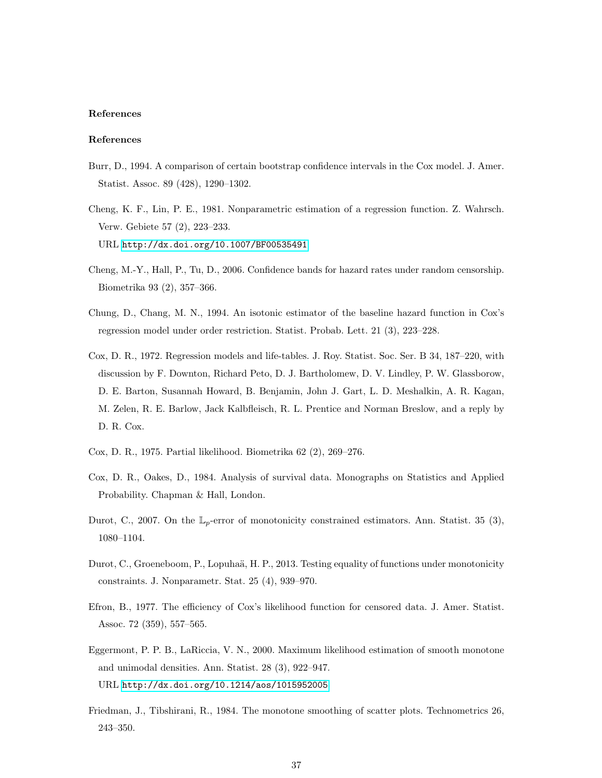# References

# References

- <span id="page-36-11"></span>Burr, D., 1994. A comparison of certain bootstrap confidence intervals in the Cox model. J. Amer. Statist. Assoc. 89 (428), 1290–1302.
- <span id="page-36-4"></span>Cheng, K. F., Lin, P. E., 1981. Nonparametric estimation of a regression function. Z. Wahrsch. Verw. Gebiete 57 (2), 223–233. URL <http://dx.doi.org/10.1007/BF00535491>
- <span id="page-36-9"></span>Cheng, M.-Y., Hall, P., Tu, D., 2006. Confidence bands for hazard rates under random censorship. Biometrika 93 (2), 357–366.
- <span id="page-36-3"></span>Chung, D., Chang, M. N., 1994. An isotonic estimator of the baseline hazard function in Cox's regression model under order restriction. Statist. Probab. Lett. 21 (3), 223–228.
- <span id="page-36-0"></span>Cox, D. R., 1972. Regression models and life-tables. J. Roy. Statist. Soc. Ser. B 34, 187–220, with discussion by F. Downton, Richard Peto, D. J. Bartholomew, D. V. Lindley, P. W. Glassborow, D. E. Barton, Susannah Howard, B. Benjamin, John J. Gart, L. D. Meshalkin, A. R. Kagan, M. Zelen, R. E. Barlow, Jack Kalbfleisch, R. L. Prentice and Norman Breslow, and a reply by D. R. Cox.
- <span id="page-36-2"></span>Cox, D. R., 1975. Partial likelihood. Biometrika 62 (2), 269–276.
- <span id="page-36-10"></span>Cox, D. R., Oakes, D., 1984. Analysis of survival data. Monographs on Statistics and Applied Probability. Chapman & Hall, London.
- <span id="page-36-8"></span>Durot, C., 2007. On the  $\mathbb{L}_p$ -error of monotonicity constrained estimators. Ann. Statist. 35 (3), 1080–1104.
- <span id="page-36-7"></span>Durot, C., Groeneboom, P., Lopuhaä, H. P., 2013. Testing equality of functions under monotonicity constraints. J. Nonparametr. Stat. 25 (4), 939–970.
- <span id="page-36-1"></span>Efron, B., 1977. The efficiency of Cox's likelihood function for censored data. J. Amer. Statist. Assoc. 72 (359), 557–565.
- <span id="page-36-6"></span>Eggermont, P. P. B., LaRiccia, V. N., 2000. Maximum likelihood estimation of smooth monotone and unimodal densities. Ann. Statist. 28 (3), 922–947. URL <http://dx.doi.org/10.1214/aos/1015952005>
- <span id="page-36-5"></span>Friedman, J., Tibshirani, R., 1984. The monotone smoothing of scatter plots. Technometrics 26, 243–350.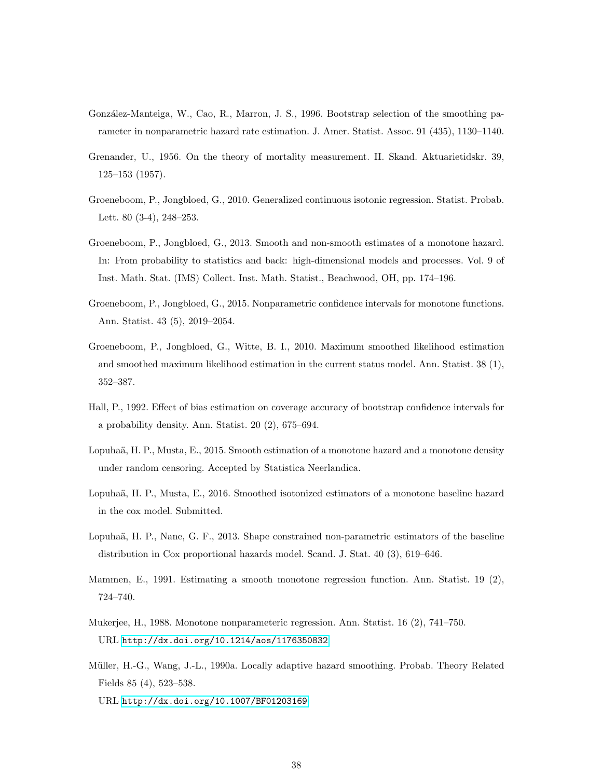- <span id="page-37-11"></span>González-Manteiga, W., Cao, R., Marron, J. S., 1996. Bootstrap selection of the smoothing parameter in nonparametric hazard rate estimation. J. Amer. Statist. Assoc. 91 (435), 1130–1140.
- <span id="page-37-7"></span>Grenander, U., 1956. On the theory of mortality measurement. II. Skand. Aktuarietidskr. 39, 125–153 (1957).
- <span id="page-37-8"></span>Groeneboom, P., Jongbloed, G., 2010. Generalized continuous isotonic regression. Statist. Probab. Lett. 80 (3-4), 248–253.
- <span id="page-37-6"></span>Groeneboom, P., Jongbloed, G., 2013. Smooth and non-smooth estimates of a monotone hazard. In: From probability to statistics and back: high-dimensional models and processes. Vol. 9 of Inst. Math. Stat. (IMS) Collect. Inst. Math. Statist., Beachwood, OH, pp. 174–196.
- <span id="page-37-10"></span>Groeneboom, P., Jongbloed, G., 2015. Nonparametric confidence intervals for monotone functions. Ann. Statist. 43 (5), 2019–2054.
- <span id="page-37-5"></span>Groeneboom, P., Jongbloed, G., Witte, B. I., 2010. Maximum smoothed likelihood estimation and smoothed maximum likelihood estimation in the current status model. Ann. Statist. 38 (1), 352–387.
- <span id="page-37-9"></span>Hall, P., 1992. Effect of bias estimation on coverage accuracy of bootstrap confidence intervals for a probability density. Ann. Statist. 20 (2), 675–694.
- <span id="page-37-3"></span>Lopuhaä, H. P., Musta, E., 2015. Smooth estimation of a monotone hazard and a monotone density under random censoring. Accepted by Statistica Neerlandica.
- <span id="page-37-0"></span>Lopuhaä, H. P., Musta, E., 2016. Smoothed isotonized estimators of a monotone baseline hazard in the cox model. Submitted.
- <span id="page-37-1"></span>Lopuhaä, H. P., Nane, G. F., 2013. Shape constrained non-parametric estimators of the baseline distribution in Cox proportional hazards model. Scand. J. Stat. 40 (3), 619–646.
- <span id="page-37-4"></span>Mammen, E., 1991. Estimating a smooth monotone regression function. Ann. Statist. 19 (2), 724–740.
- <span id="page-37-2"></span>Mukerjee, H., 1988. Monotone nonparameteric regression. Ann. Statist. 16 (2), 741–750. URL <http://dx.doi.org/10.1214/aos/1176350832>
- <span id="page-37-12"></span>Müller, H.-G., Wang, J.-L., 1990a. Locally adaptive hazard smoothing. Probab. Theory Related Fields 85 (4), 523–538. URL <http://dx.doi.org/10.1007/BF01203169>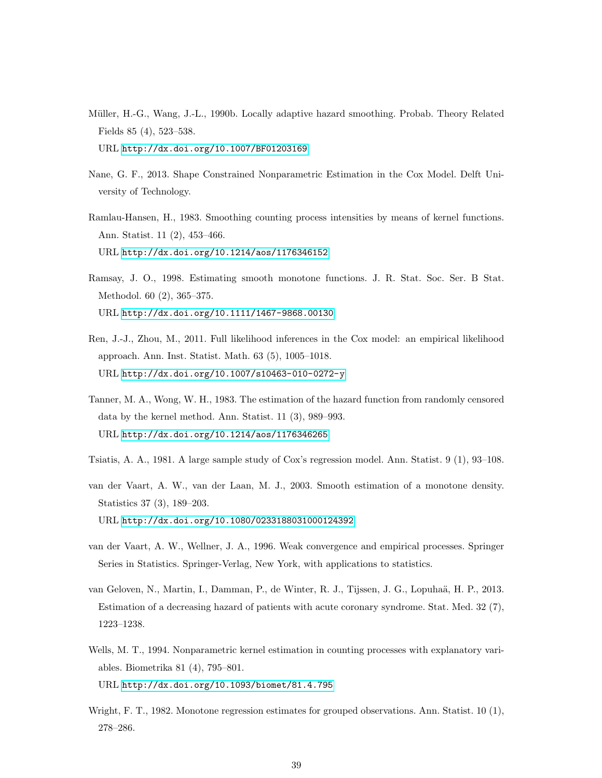- <span id="page-38-9"></span>Müller, H.-G., Wang, J.-L., 1990b. Locally adaptive hazard smoothing. Probab. Theory Related Fields 85 (4), 523–538. URL <http://dx.doi.org/10.1007/BF01203169>
- <span id="page-38-5"></span>Nane, G. F., 2013. Shape Constrained Nonparametric Estimation in the Cox Model. Delft University of Technology.
- <span id="page-38-6"></span>Ramlau-Hansen, H., 1983. Smoothing counting process intensities by means of kernel functions. Ann. Statist. 11 (2), 453–466. URL <http://dx.doi.org/10.1214/aos/1176346152>
- <span id="page-38-3"></span>Ramsay, J. O., 1998. Estimating smooth monotone functions. J. R. Stat. Soc. Ser. B Stat. Methodol. 60 (2), 365–375. URL <http://dx.doi.org/10.1111/1467-9868.00130>
- <span id="page-38-10"></span>Ren, J.-J., Zhou, M., 2011. Full likelihood inferences in the Cox model: an empirical likelihood approach. Ann. Inst. Statist. Math. 63 (5), 1005–1018. URL <http://dx.doi.org/10.1007/s10463-010-0272-y>
- <span id="page-38-7"></span>Tanner, M. A., Wong, W. H., 1983. The estimation of the hazard function from randomly censored data by the kernel method. Ann. Statist. 11 (3), 989–993. URL <http://dx.doi.org/10.1214/aos/1176346265>
- <span id="page-38-0"></span>Tsiatis, A. A., 1981. A large sample study of Cox's regression model. Ann. Statist. 9 (1), 93–108.
- <span id="page-38-4"></span>van der Vaart, A. W., van der Laan, M. J., 2003. Smooth estimation of a monotone density. Statistics 37 (3), 189–203. URL <http://dx.doi.org/10.1080/0233188031000124392>
- <span id="page-38-11"></span>van der Vaart, A. W., Wellner, J. A., 1996. Weak convergence and empirical processes. Springer Series in Statistics. Springer-Verlag, New York, with applications to statistics.
- <span id="page-38-1"></span>van Geloven, N., Martin, I., Damman, P., de Winter, R. J., Tijssen, J. G., Lopuhaä, H. P., 2013. Estimation of a decreasing hazard of patients with acute coronary syndrome. Stat. Med. 32 (7), 1223–1238.
- <span id="page-38-8"></span>Wells, M. T., 1994. Nonparametric kernel estimation in counting processes with explanatory variables. Biometrika 81 (4), 795–801. URL <http://dx.doi.org/10.1093/biomet/81.4.795>
- <span id="page-38-2"></span>Wright, F. T., 1982. Monotone regression estimates for grouped observations. Ann. Statist. 10 (1), 278–286.